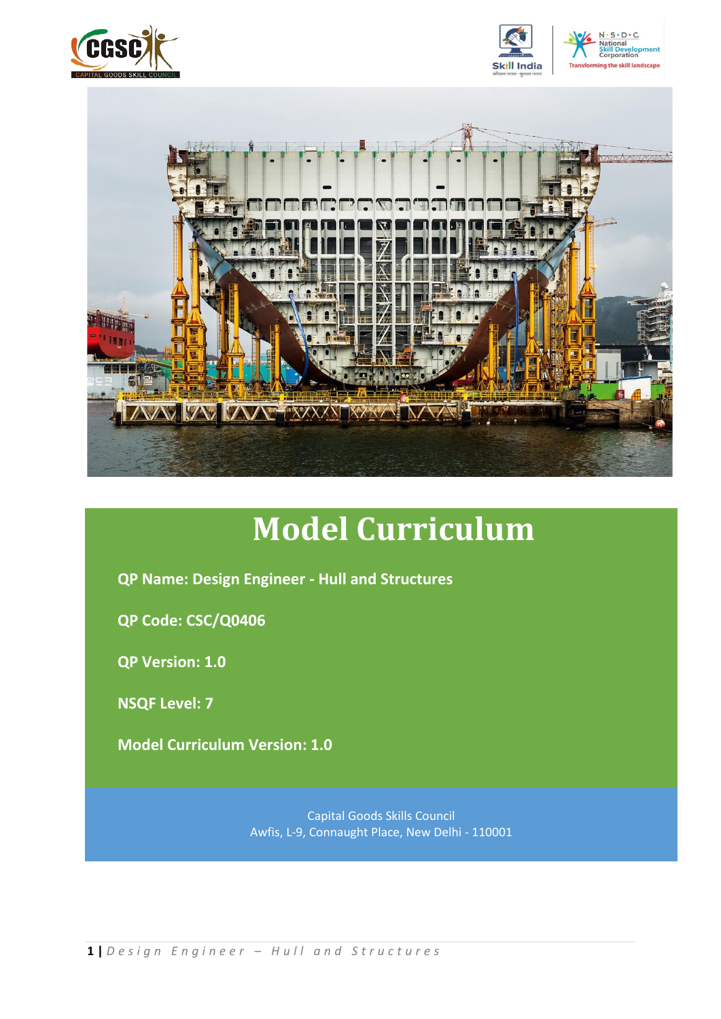





# **Model Curriculum**

**QP Name: Design Engineer - Hull and Structures**

**QP Code: CSC/Q0406**

**QP Version: 1.0**

**NSQF Level: 7**

**Model Curriculum Version: 1.0**

Capital Goods Skills Council Awfis, L-9, Connaught Place, New Delhi - 110001

**1 |** *D e s i g n E n g i n e e r – H u l l a n d S t r u c t u r e s*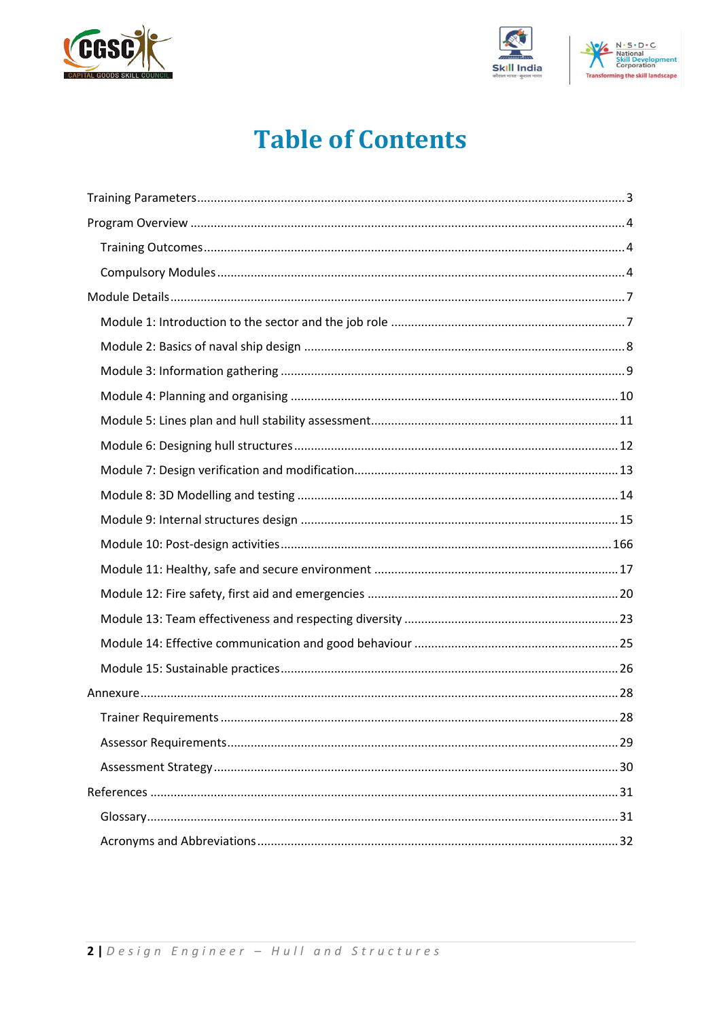





## **Table of Contents**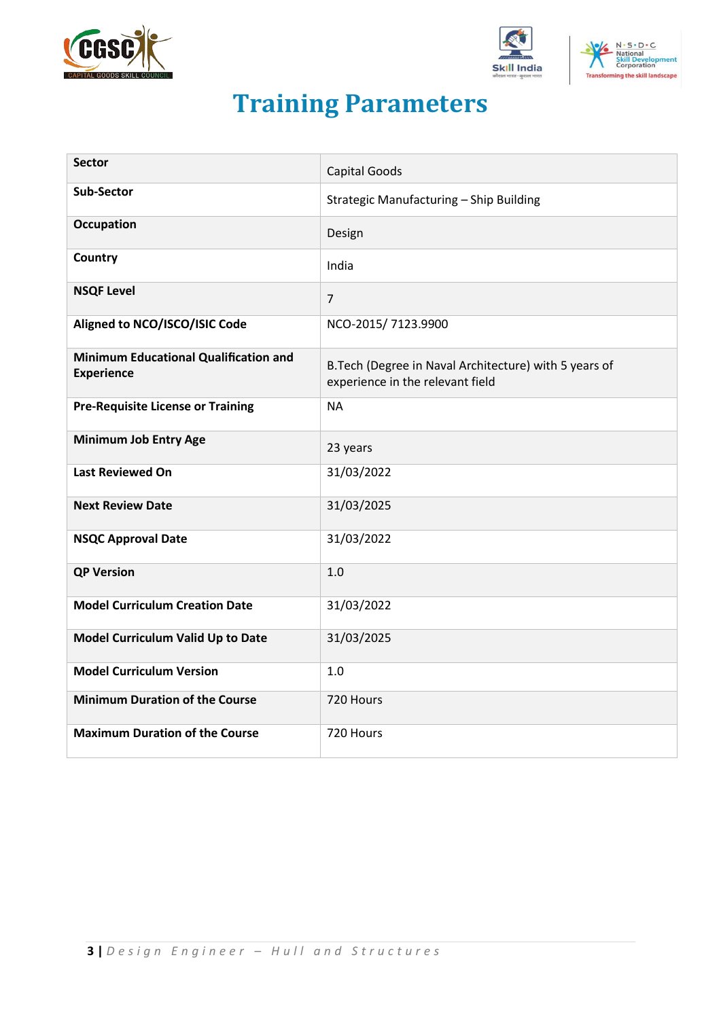





## **Training Parameters**

<span id="page-2-0"></span>

| <b>Sector</b>                                                     | <b>Capital Goods</b>                                                                       |
|-------------------------------------------------------------------|--------------------------------------------------------------------------------------------|
| <b>Sub-Sector</b>                                                 | Strategic Manufacturing - Ship Building                                                    |
| <b>Occupation</b>                                                 | Design                                                                                     |
| Country                                                           | India                                                                                      |
| <b>NSQF Level</b>                                                 | $\overline{7}$                                                                             |
| Aligned to NCO/ISCO/ISIC Code                                     | NCO-2015/7123.9900                                                                         |
| <b>Minimum Educational Qualification and</b><br><b>Experience</b> | B. Tech (Degree in Naval Architecture) with 5 years of<br>experience in the relevant field |
| <b>Pre-Requisite License or Training</b>                          | <b>NA</b>                                                                                  |
| <b>Minimum Job Entry Age</b>                                      | 23 years                                                                                   |
| <b>Last Reviewed On</b>                                           | 31/03/2022                                                                                 |
| <b>Next Review Date</b>                                           | 31/03/2025                                                                                 |
| <b>NSQC Approval Date</b>                                         | 31/03/2022                                                                                 |
| <b>QP Version</b>                                                 | 1.0                                                                                        |
| <b>Model Curriculum Creation Date</b>                             | 31/03/2022                                                                                 |
| Model Curriculum Valid Up to Date                                 | 31/03/2025                                                                                 |
| <b>Model Curriculum Version</b>                                   | 1.0                                                                                        |
| <b>Minimum Duration of the Course</b>                             | 720 Hours                                                                                  |
| <b>Maximum Duration of the Course</b>                             | 720 Hours                                                                                  |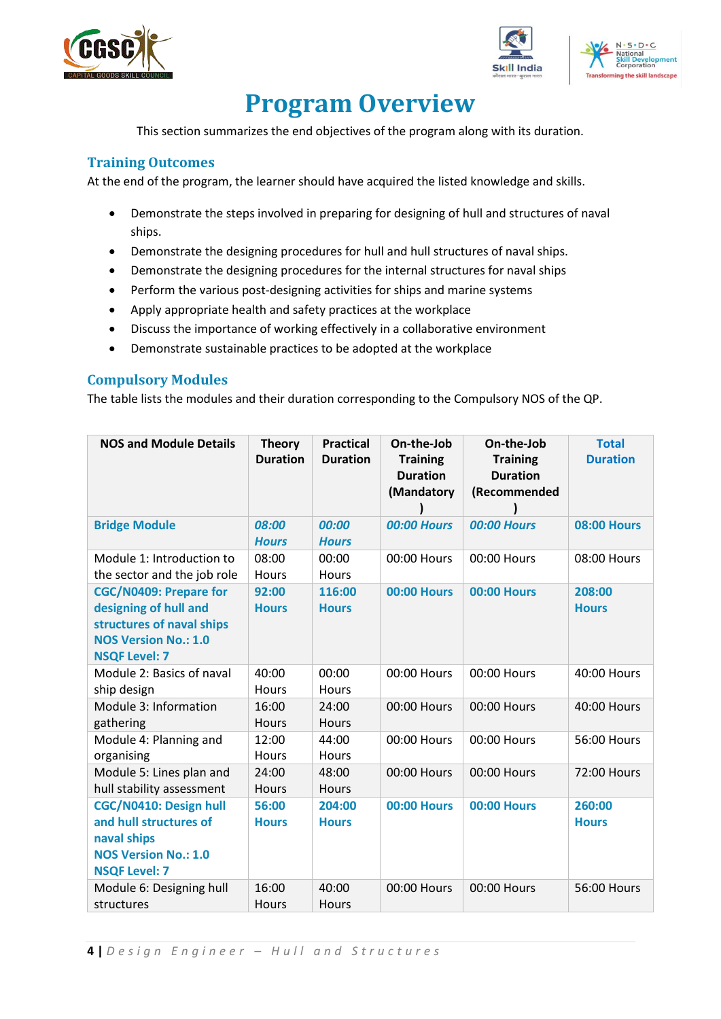





## **Program Overview**

<span id="page-3-0"></span>This section summarizes the end objectives of the program along with its duration.

## <span id="page-3-1"></span>**Training Outcomes**

At the end of the program, the learner should have acquired the listed knowledge and skills.

- Demonstrate the steps involved in preparing for designing of hull and structures of naval ships.
- Demonstrate the designing procedures for hull and hull structures of naval ships.
- Demonstrate the designing procedures for the internal structures for naval ships
- Perform the various post-designing activities for ships and marine systems
- Apply appropriate health and safety practices at the workplace
- Discuss the importance of working effectively in a collaborative environment
- Demonstrate sustainable practices to be adopted at the workplace

## <span id="page-3-2"></span>**Compulsory Modules**

The table lists the modules and their duration corresponding to the Compulsory NOS of the QP.

| <b>NOS and Module Details</b>                                                                                                              | <b>Theory</b><br><b>Duration</b> | <b>Practical</b><br><b>Duration</b> | On-the-Job<br><b>Training</b><br><b>Duration</b><br>(Mandatory | On-the-Job<br><b>Training</b><br><b>Duration</b><br>(Recommended | <b>Total</b><br><b>Duration</b> |
|--------------------------------------------------------------------------------------------------------------------------------------------|----------------------------------|-------------------------------------|----------------------------------------------------------------|------------------------------------------------------------------|---------------------------------|
| <b>Bridge Module</b>                                                                                                                       | 08:00<br><b>Hours</b>            | 00:00<br><b>Hours</b>               | <b>00:00 Hours</b>                                             | <b>00:00 Hours</b>                                               | <b>08:00 Hours</b>              |
| Module 1: Introduction to<br>the sector and the job role                                                                                   | 08:00<br>Hours                   | 00:00<br>Hours                      | 00:00 Hours                                                    | 00:00 Hours                                                      | 08:00 Hours                     |
| <b>CGC/N0409: Prepare for</b><br>designing of hull and<br>structures of naval ships<br><b>NOS Version No.: 1.0</b><br><b>NSQF Level: 7</b> | 92:00<br><b>Hours</b>            | 116:00<br><b>Hours</b>              | <b>00:00 Hours</b>                                             | <b>00:00 Hours</b>                                               | 208:00<br><b>Hours</b>          |
| Module 2: Basics of naval<br>ship design                                                                                                   | 40:00<br>Hours                   | 00:00<br>Hours                      | 00:00 Hours                                                    | 00:00 Hours                                                      | 40:00 Hours                     |
| Module 3: Information<br>gathering                                                                                                         | 16:00<br><b>Hours</b>            | 24:00<br><b>Hours</b>               | 00:00 Hours                                                    | 00:00 Hours                                                      | 40:00 Hours                     |
| Module 4: Planning and<br>organising                                                                                                       | 12:00<br>Hours                   | 44:00<br>Hours                      | 00:00 Hours                                                    | 00:00 Hours                                                      | 56:00 Hours                     |
| Module 5: Lines plan and<br>hull stability assessment                                                                                      | 24:00<br><b>Hours</b>            | 48:00<br><b>Hours</b>               | 00:00 Hours                                                    | 00:00 Hours                                                      | 72:00 Hours                     |
| CGC/N0410: Design hull<br>and hull structures of<br>naval ships<br><b>NOS Version No.: 1.0</b><br><b>NSQF Level: 7</b>                     | 56:00<br><b>Hours</b>            | 204:00<br><b>Hours</b>              | <b>00:00 Hours</b>                                             | <b>00:00 Hours</b>                                               | 260:00<br><b>Hours</b>          |
| Module 6: Designing hull<br>structures                                                                                                     | 16:00<br><b>Hours</b>            | 40:00<br><b>Hours</b>               | 00:00 Hours                                                    | 00:00 Hours                                                      | 56:00 Hours                     |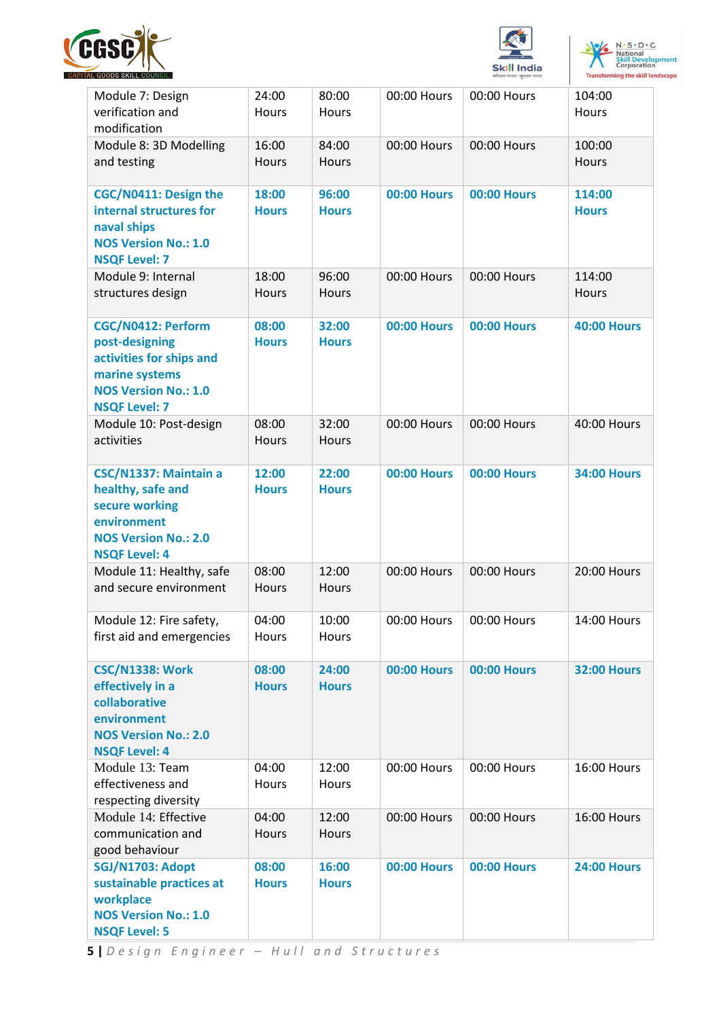





|                                                                                                                                           |                       |                       |                    | कारात नारत-कुरात ना       |                        |
|-------------------------------------------------------------------------------------------------------------------------------------------|-----------------------|-----------------------|--------------------|---------------------------|------------------------|
| Module 7: Design<br>verification and<br>modification                                                                                      | 24:00<br><b>Hours</b> | 80:00<br>Hours        | 00:00 Hours        | 00:00 Hours               | 104:00<br>Hours        |
| Module 8: 3D Modelling<br>and testing                                                                                                     | 16:00<br><b>Hours</b> | 84:00<br><b>Hours</b> | 00:00 Hours        | 00:00 Hours               | 100:00<br>Hours        |
| CGC/N0411: Design the<br>internal structures for<br>naval ships<br><b>NOS Version No.: 1.0</b><br><b>NSQF Level: 7</b>                    | 18:00<br><b>Hours</b> | 96:00<br><b>Hours</b> | <b>00:00 Hours</b> | <b>00:00 Hours</b>        | 114:00<br><b>Hours</b> |
| Module 9: Internal<br>structures design                                                                                                   | 18:00<br><b>Hours</b> | 96:00<br><b>Hours</b> | 00:00 Hours        | 00:00 Hours               | 114:00<br>Hours        |
| CGC/N0412: Perform<br>post-designing<br>activities for ships and<br>marine systems<br><b>NOS Version No.: 1.0</b><br><b>NSQF Level: 7</b> | 08:00<br><b>Hours</b> | 32:00<br><b>Hours</b> | <b>00:00 Hours</b> | <b>00:00 Hours</b>        | <b>40:00 Hours</b>     |
| Module 10: Post-design<br>activities                                                                                                      | 08:00<br>Hours        | 32:00<br>Hours        | 00:00 Hours        | 00:00 Hours               | 40:00 Hours            |
| CSC/N1337: Maintain a<br>healthy, safe and<br>secure working<br>environment<br><b>NOS Version No.: 2.0</b><br><b>NSQF Level: 4</b>        | 12:00<br><b>Hours</b> | 22:00<br><b>Hours</b> | <b>00:00 Hours</b> | <b>00:00 Hours</b>        | <b>34:00 Hours</b>     |
| Module 11: Healthy, safe<br>and secure environment                                                                                        | 08:00<br><b>Hours</b> | 12:00<br>Hours        | 00:00 Hours        | 00:00 Hours               | 20:00 Hours            |
| Module 12: Fire safety,<br>first aid and emergencies                                                                                      | 04:00<br>Hours        | 10:00<br>Hours        |                    | 00:00 Hours   00:00 Hours | 14:00 Hours            |
| <b>CSC/N1338: Work</b><br>effectively in a<br>collaborative<br>environment<br><b>NOS Version No.: 2.0</b><br><b>NSQF Level: 4</b>         | 08:00<br><b>Hours</b> | 24:00<br><b>Hours</b> | <b>00:00 Hours</b> | <b>00:00 Hours</b>        | <b>32:00 Hours</b>     |
| Module 13: Team<br>effectiveness and<br>respecting diversity                                                                              | 04:00<br><b>Hours</b> | 12:00<br>Hours        | 00:00 Hours        | 00:00 Hours               | 16:00 Hours            |
| Module 14: Effective<br>communication and<br>good behaviour                                                                               | 04:00<br>Hours        | 12:00<br>Hours        | 00:00 Hours        | 00:00 Hours               | 16:00 Hours            |
| SGJ/N1703: Adopt<br>sustainable practices at<br>workplace<br><b>NOS Version No.: 1.0</b><br><b>NSQF Level: 5</b>                          | 08:00<br><b>Hours</b> | 16:00<br><b>Hours</b> | <b>00:00 Hours</b> | <b>00:00 Hours</b>        | <b>24:00 Hours</b>     |

**5 |** *D e s i g n E n g i n e e r – H u l l a n d S t r u c t u r e s*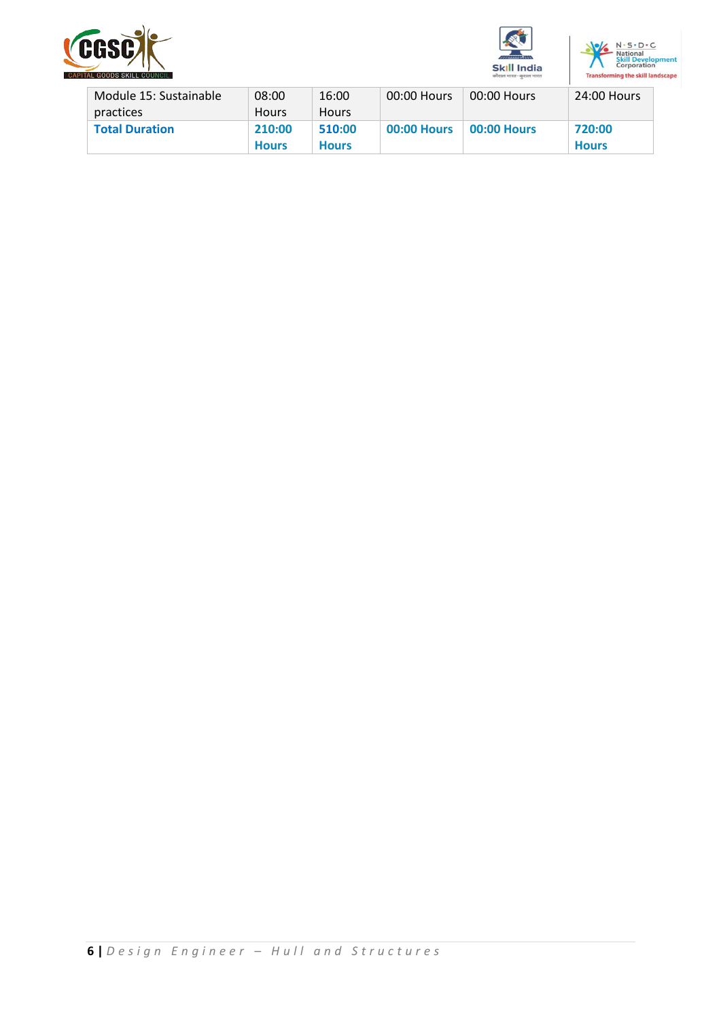





| Module 15: Sustainable | 08:00        | 16:00        | 00:00 Hours        | 00:00 Hours        | 24:00 Hours  |
|------------------------|--------------|--------------|--------------------|--------------------|--------------|
| practices              | <b>Hours</b> | <b>Hours</b> |                    |                    |              |
| <b>Total Duration</b>  | 210:00       | 510:00       | <b>00:00 Hours</b> | <b>00:00 Hours</b> | 720:00       |
|                        | <b>Hours</b> | <b>Hours</b> |                    |                    | <b>Hours</b> |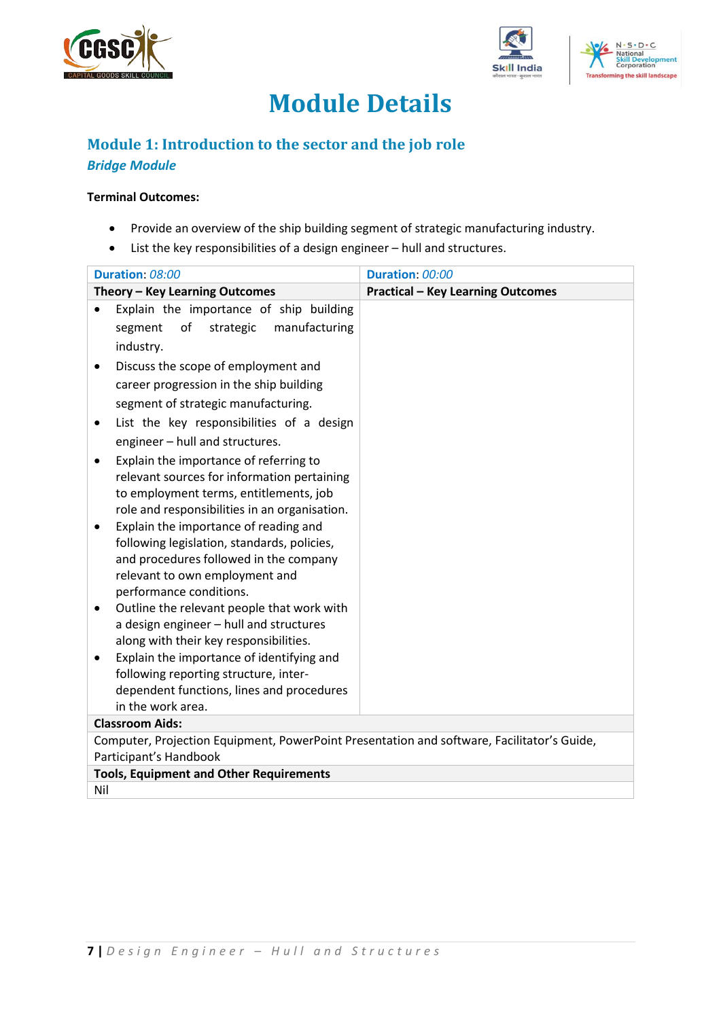





## **Module Details**

## <span id="page-6-1"></span><span id="page-6-0"></span>**Module 1: Introduction to the sector and the job role** *Bridge Module*

#### **Terminal Outcomes:**

- Provide an overview of the ship building segment of strategic manufacturing industry.
- List the key responsibilities of a design engineer hull and structures.

|           | Duration: 08:00                                                                            | Duration: 00:00                          |
|-----------|--------------------------------------------------------------------------------------------|------------------------------------------|
|           | Theory - Key Learning Outcomes                                                             | <b>Practical - Key Learning Outcomes</b> |
|           | Explain the importance of ship building                                                    |                                          |
|           | of<br>strategic<br>manufacturing<br>segment                                                |                                          |
|           | industry.                                                                                  |                                          |
| $\bullet$ | Discuss the scope of employment and                                                        |                                          |
|           | career progression in the ship building                                                    |                                          |
|           | segment of strategic manufacturing.                                                        |                                          |
| ٠         | List the key responsibilities of a design                                                  |                                          |
|           | engineer - hull and structures.                                                            |                                          |
|           | Explain the importance of referring to                                                     |                                          |
|           | relevant sources for information pertaining                                                |                                          |
|           | to employment terms, entitlements, job                                                     |                                          |
|           | role and responsibilities in an organisation.                                              |                                          |
|           | Explain the importance of reading and                                                      |                                          |
|           | following legislation, standards, policies,                                                |                                          |
|           | and procedures followed in the company                                                     |                                          |
|           | relevant to own employment and                                                             |                                          |
|           | performance conditions.                                                                    |                                          |
|           | Outline the relevant people that work with                                                 |                                          |
|           | a design engineer - hull and structures                                                    |                                          |
|           | along with their key responsibilities.                                                     |                                          |
|           | Explain the importance of identifying and                                                  |                                          |
|           | following reporting structure, inter-                                                      |                                          |
|           | dependent functions, lines and procedures                                                  |                                          |
|           | in the work area.                                                                          |                                          |
|           | <b>Classroom Aids:</b>                                                                     |                                          |
|           | Computer, Projection Equipment, PowerPoint Presentation and software, Facilitator's Guide, |                                          |
|           | Participant's Handbook                                                                     |                                          |
|           | <b>Tools, Equipment and Other Requirements</b>                                             |                                          |
| Nil       |                                                                                            |                                          |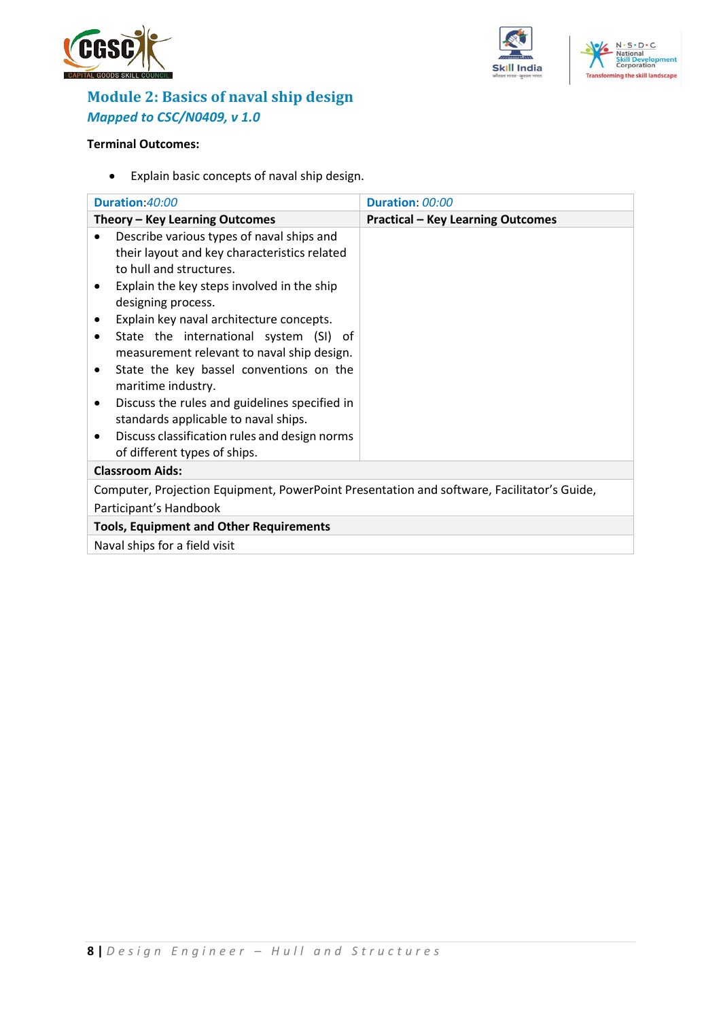





## <span id="page-7-0"></span>**Module 2: Basics of naval ship design** *Mapped to CSC/N0409, v 1.0*

## **Terminal Outcomes:**

• Explain basic concepts of naval ship design.

|                        | Duration 40:00                                                                             | Duration: 00:00                          |  |  |
|------------------------|--------------------------------------------------------------------------------------------|------------------------------------------|--|--|
|                        | Theory - Key Learning Outcomes                                                             | <b>Practical - Key Learning Outcomes</b> |  |  |
|                        | Describe various types of naval ships and                                                  |                                          |  |  |
|                        | their layout and key characteristics related                                               |                                          |  |  |
|                        | to hull and structures.                                                                    |                                          |  |  |
|                        | Explain the key steps involved in the ship                                                 |                                          |  |  |
|                        | designing process.                                                                         |                                          |  |  |
|                        | Explain key naval architecture concepts.                                                   |                                          |  |  |
|                        | State the international system (SI) of                                                     |                                          |  |  |
|                        | measurement relevant to naval ship design.                                                 |                                          |  |  |
| ٠                      | State the key bassel conventions on the                                                    |                                          |  |  |
|                        | maritime industry.                                                                         |                                          |  |  |
|                        | Discuss the rules and guidelines specified in                                              |                                          |  |  |
|                        | standards applicable to naval ships.                                                       |                                          |  |  |
|                        | Discuss classification rules and design norms                                              |                                          |  |  |
|                        | of different types of ships.                                                               |                                          |  |  |
| <b>Classroom Aids:</b> |                                                                                            |                                          |  |  |
|                        | Computer, Projection Equipment, PowerPoint Presentation and software, Facilitator's Guide, |                                          |  |  |
|                        | Participant's Handbook                                                                     |                                          |  |  |
|                        | <b>Tools, Equipment and Other Requirements</b>                                             |                                          |  |  |
|                        | Naval ships for a field visit                                                              |                                          |  |  |
|                        |                                                                                            |                                          |  |  |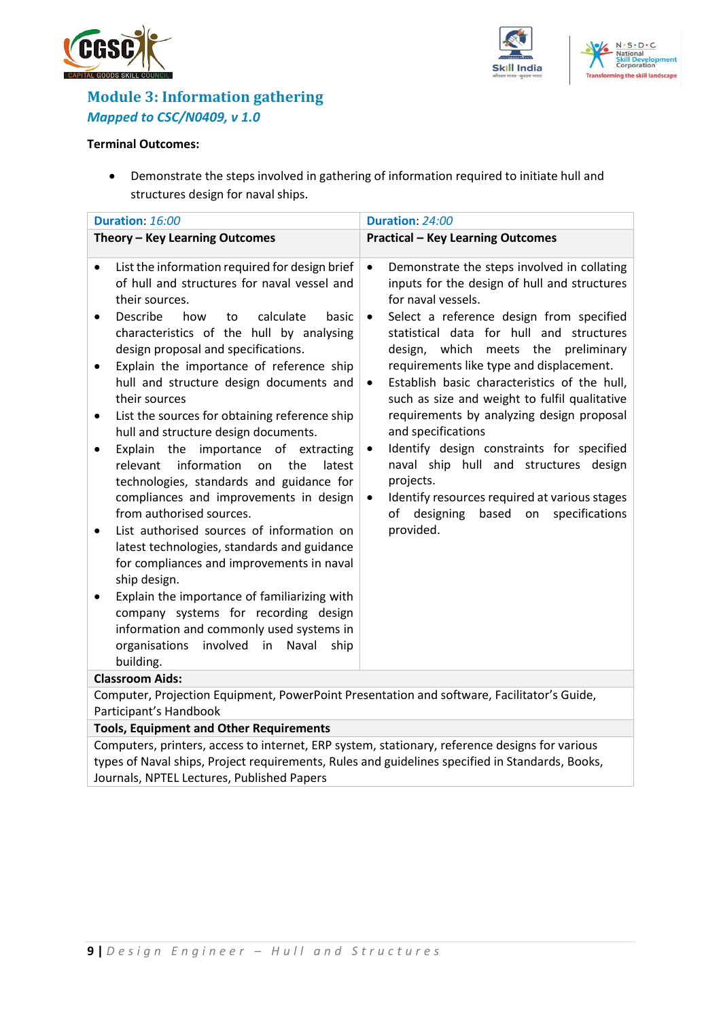





## <span id="page-8-0"></span>**Module 3: Information gathering**  *Mapped to CSC/N0409, v 1.0*

#### **Terminal Outcomes:**

• Demonstrate the steps involved in gathering of information required to initiate hull and structures design for naval ships.

| Duration: 16:00                                                                                                                                                                                                                                                                                                                                                                                                                                                                                                                                                                                                                                                                                                                                                                                                                                                                                                                                                                                                                              | Duration: 24:00                                                                                                                                                                                                                                                                                                                                                                                                                                                                                                                                                                                                                                                                                                                                        |  |  |
|----------------------------------------------------------------------------------------------------------------------------------------------------------------------------------------------------------------------------------------------------------------------------------------------------------------------------------------------------------------------------------------------------------------------------------------------------------------------------------------------------------------------------------------------------------------------------------------------------------------------------------------------------------------------------------------------------------------------------------------------------------------------------------------------------------------------------------------------------------------------------------------------------------------------------------------------------------------------------------------------------------------------------------------------|--------------------------------------------------------------------------------------------------------------------------------------------------------------------------------------------------------------------------------------------------------------------------------------------------------------------------------------------------------------------------------------------------------------------------------------------------------------------------------------------------------------------------------------------------------------------------------------------------------------------------------------------------------------------------------------------------------------------------------------------------------|--|--|
| Theory - Key Learning Outcomes                                                                                                                                                                                                                                                                                                                                                                                                                                                                                                                                                                                                                                                                                                                                                                                                                                                                                                                                                                                                               | <b>Practical - Key Learning Outcomes</b>                                                                                                                                                                                                                                                                                                                                                                                                                                                                                                                                                                                                                                                                                                               |  |  |
| List the information required for design brief<br>$\bullet$<br>of hull and structures for naval vessel and<br>their sources.<br>Describe<br>calculate<br>how<br>basic<br>to<br>٠<br>characteristics of the hull by analysing<br>design proposal and specifications.<br>Explain the importance of reference ship<br>hull and structure design documents and<br>their sources<br>List the sources for obtaining reference ship<br>٠<br>hull and structure design documents.<br>Explain the importance of extracting<br>٠<br>relevant information<br>the<br>on<br>latest<br>technologies, standards and guidance for<br>compliances and improvements in design<br>from authorised sources.<br>List authorised sources of information on<br>latest technologies, standards and guidance<br>for compliances and improvements in naval<br>ship design.<br>Explain the importance of familiarizing with<br>company systems for recording design<br>information and commonly used systems in<br>organisations involved in Naval<br>ship<br>building. | Demonstrate the steps involved in collating<br>$\bullet$<br>inputs for the design of hull and structures<br>for naval vessels.<br>Select a reference design from specified<br>$\bullet$<br>statistical data for hull and structures<br>design, which meets the<br>preliminary<br>requirements like type and displacement.<br>Establish basic characteristics of the hull,<br>$\bullet$<br>such as size and weight to fulfil qualitative<br>requirements by analyzing design proposal<br>and specifications<br>Identify design constraints for specified<br>$\bullet$<br>naval ship hull and structures design<br>projects.<br>Identify resources required at various stages<br>$\bullet$<br>designing<br>based on<br>specifications<br>of<br>provided. |  |  |
| <b>Classroom Aids:</b>                                                                                                                                                                                                                                                                                                                                                                                                                                                                                                                                                                                                                                                                                                                                                                                                                                                                                                                                                                                                                       |                                                                                                                                                                                                                                                                                                                                                                                                                                                                                                                                                                                                                                                                                                                                                        |  |  |
| Computer, Projection Equipment, PowerPoint Presentation and software, Facilitator's Guide,<br>Participant's Handbook                                                                                                                                                                                                                                                                                                                                                                                                                                                                                                                                                                                                                                                                                                                                                                                                                                                                                                                         |                                                                                                                                                                                                                                                                                                                                                                                                                                                                                                                                                                                                                                                                                                                                                        |  |  |
| <b>Tools, Equipment and Other Requirements</b>                                                                                                                                                                                                                                                                                                                                                                                                                                                                                                                                                                                                                                                                                                                                                                                                                                                                                                                                                                                               |                                                                                                                                                                                                                                                                                                                                                                                                                                                                                                                                                                                                                                                                                                                                                        |  |  |
| Computers, printers, access to internat. EDD system, stationary, reference designs for various                                                                                                                                                                                                                                                                                                                                                                                                                                                                                                                                                                                                                                                                                                                                                                                                                                                                                                                                               |                                                                                                                                                                                                                                                                                                                                                                                                                                                                                                                                                                                                                                                                                                                                                        |  |  |

Computers, printers, access to internet, ERP system, stationary, reference designs for various types of Naval ships, Project requirements, Rules and guidelines specified in Standards, Books, Journals, NPTEL Lectures, Published Papers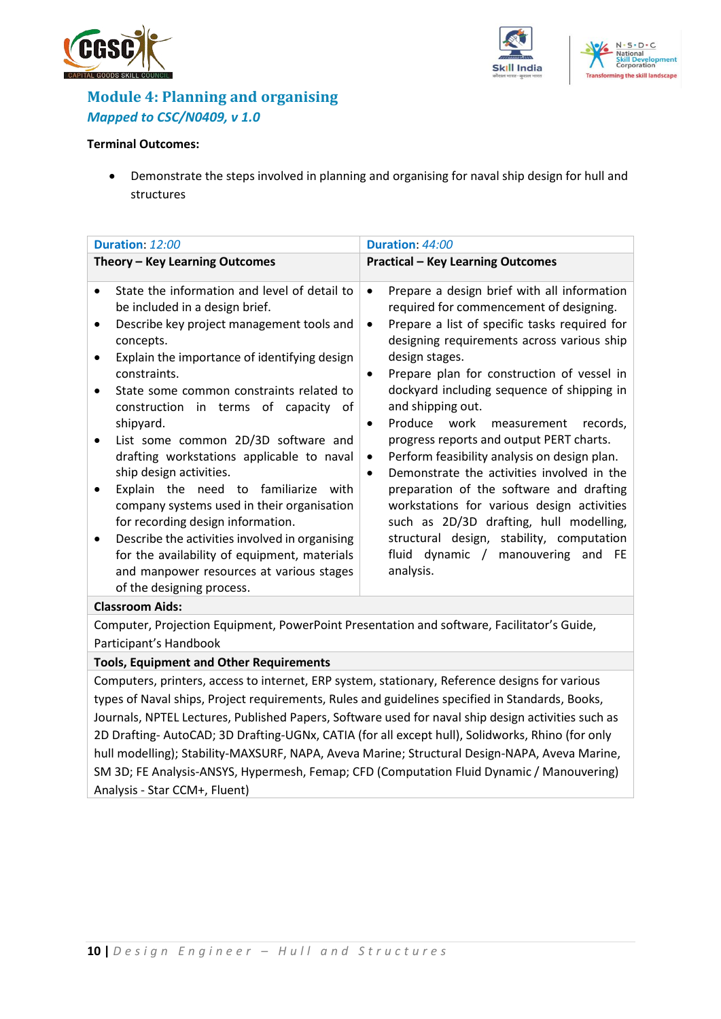





## <span id="page-9-0"></span>**Module 4: Planning and organising** *Mapped to CSC/N0409, v 1.0*

#### **Terminal Outcomes:**

• Demonstrate the steps involved in planning and organising for naval ship design for hull and structures

| Duration: 12:00                                                                                                                                                                                                                                                                                                                                                                                                                                                                                                                                                                                                                                                                                                                                                                    | Duration: 44:00                                                                                                                                                                                                                                                                                                                                                                                                                                                                                                                                                                                                                                                                                                                                                                                                               |
|------------------------------------------------------------------------------------------------------------------------------------------------------------------------------------------------------------------------------------------------------------------------------------------------------------------------------------------------------------------------------------------------------------------------------------------------------------------------------------------------------------------------------------------------------------------------------------------------------------------------------------------------------------------------------------------------------------------------------------------------------------------------------------|-------------------------------------------------------------------------------------------------------------------------------------------------------------------------------------------------------------------------------------------------------------------------------------------------------------------------------------------------------------------------------------------------------------------------------------------------------------------------------------------------------------------------------------------------------------------------------------------------------------------------------------------------------------------------------------------------------------------------------------------------------------------------------------------------------------------------------|
| Theory - Key Learning Outcomes                                                                                                                                                                                                                                                                                                                                                                                                                                                                                                                                                                                                                                                                                                                                                     | <b>Practical - Key Learning Outcomes</b>                                                                                                                                                                                                                                                                                                                                                                                                                                                                                                                                                                                                                                                                                                                                                                                      |
| State the information and level of detail to<br>$\bullet$<br>be included in a design brief.<br>Describe key project management tools and<br>$\bullet$<br>concepts.<br>Explain the importance of identifying design<br>constraints.<br>State some common constraints related to<br>$\bullet$<br>construction in terms of capacity of<br>shipyard.<br>List some common 2D/3D software and<br>$\bullet$<br>drafting workstations applicable to naval<br>ship design activities.<br>Explain the need to familiarize with<br>company systems used in their organisation<br>for recording design information.<br>Describe the activities involved in organising<br>for the availability of equipment, materials<br>and manpower resources at various stages<br>of the designing process. | Prepare a design brief with all information<br>$\bullet$<br>required for commencement of designing.<br>Prepare a list of specific tasks required for<br>$\bullet$<br>designing requirements across various ship<br>design stages.<br>Prepare plan for construction of vessel in<br>$\bullet$<br>dockyard including sequence of shipping in<br>and shipping out.<br>Produce work measurement<br>records,<br>$\bullet$<br>progress reports and output PERT charts.<br>Perform feasibility analysis on design plan.<br>$\bullet$<br>Demonstrate the activities involved in the<br>$\bullet$<br>preparation of the software and drafting<br>workstations for various design activities<br>such as 2D/3D drafting, hull modelling,<br>structural design, stability, computation<br>fluid dynamic / manouvering and FE<br>analysis. |
| <b>Classroom Aids:</b><br>Computer, Projection Equipment, PowerPoint Presentation and software, Facilitator's Guide,                                                                                                                                                                                                                                                                                                                                                                                                                                                                                                                                                                                                                                                               |                                                                                                                                                                                                                                                                                                                                                                                                                                                                                                                                                                                                                                                                                                                                                                                                                               |
|                                                                                                                                                                                                                                                                                                                                                                                                                                                                                                                                                                                                                                                                                                                                                                                    |                                                                                                                                                                                                                                                                                                                                                                                                                                                                                                                                                                                                                                                                                                                                                                                                                               |

Participant's Handbook

#### **Tools, Equipment and Other Requirements**

Computers, printers, access to internet, ERP system, stationary, Reference designs for various types of Naval ships, Project requirements, Rules and guidelines specified in Standards, Books, Journals, NPTEL Lectures, Published Papers, Software used for naval ship design activities such as 2D Drafting- AutoCAD; 3D Drafting-UGNx, CATIA (for all except hull), Solidworks, Rhino (for only hull modelling); Stability-MAXSURF, NAPA, Aveva Marine; Structural Design-NAPA, Aveva Marine, SM 3D; FE Analysis-ANSYS, Hypermesh, Femap; CFD (Computation Fluid Dynamic / Manouvering) Analysis - Star CCM+, Fluent)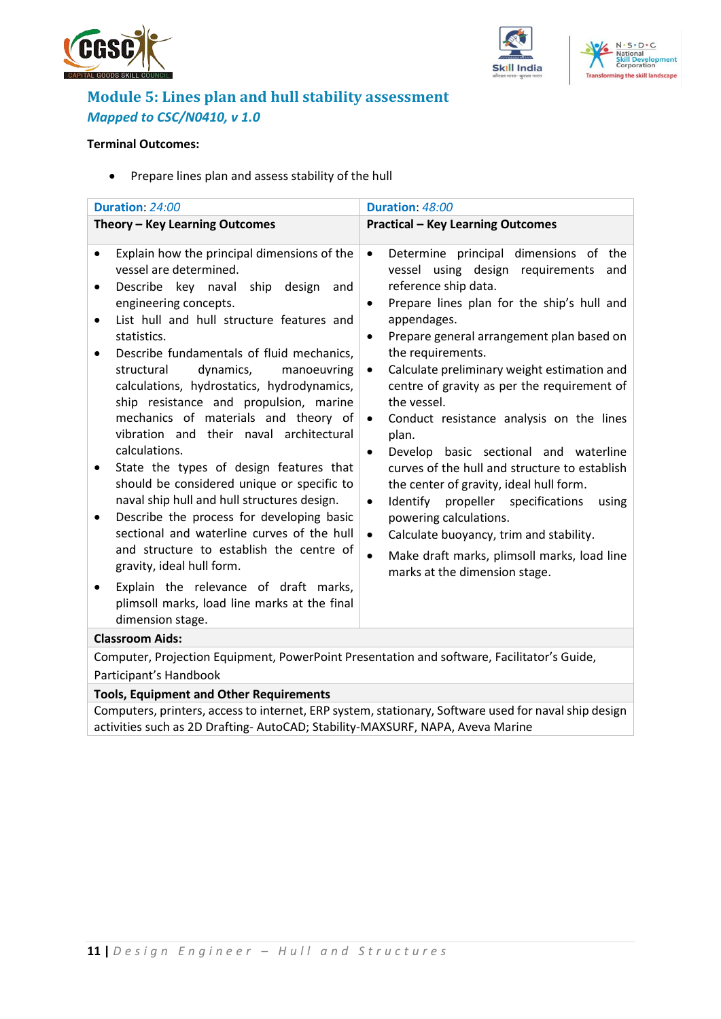





## <span id="page-10-0"></span>**Module 5: Lines plan and hull stability assessment** *Mapped to CSC/N0410, v 1.0*

#### **Terminal Outcomes:**

• Prepare lines plan and assess stability of the hull

| Duration: 24:00                                                                                                                                                                                                                                                                                                                                                                                                                                                                                                                                                                                                                                                                                                                                                                                                                                                                                                                                       | Duration: 48:00                                                                                                                                                                                                                                                                                                                                                                                                                                                                                                                                                                                                                                                                                                                                                                                                                                                        |  |  |  |
|-------------------------------------------------------------------------------------------------------------------------------------------------------------------------------------------------------------------------------------------------------------------------------------------------------------------------------------------------------------------------------------------------------------------------------------------------------------------------------------------------------------------------------------------------------------------------------------------------------------------------------------------------------------------------------------------------------------------------------------------------------------------------------------------------------------------------------------------------------------------------------------------------------------------------------------------------------|------------------------------------------------------------------------------------------------------------------------------------------------------------------------------------------------------------------------------------------------------------------------------------------------------------------------------------------------------------------------------------------------------------------------------------------------------------------------------------------------------------------------------------------------------------------------------------------------------------------------------------------------------------------------------------------------------------------------------------------------------------------------------------------------------------------------------------------------------------------------|--|--|--|
| Theory - Key Learning Outcomes                                                                                                                                                                                                                                                                                                                                                                                                                                                                                                                                                                                                                                                                                                                                                                                                                                                                                                                        | <b>Practical - Key Learning Outcomes</b>                                                                                                                                                                                                                                                                                                                                                                                                                                                                                                                                                                                                                                                                                                                                                                                                                               |  |  |  |
| Explain how the principal dimensions of the<br>$\bullet$<br>vessel are determined.<br>Describe key naval ship design and<br>engineering concepts.<br>List hull and hull structure features and<br>$\bullet$<br>statistics.<br>Describe fundamentals of fluid mechanics,<br>٠<br>dynamics,<br>structural<br>manoeuvring<br>calculations, hydrostatics, hydrodynamics,<br>ship resistance and propulsion, marine<br>mechanics of materials and theory of<br>vibration and their naval architectural<br>calculations.<br>State the types of design features that<br>٠<br>should be considered unique or specific to<br>naval ship hull and hull structures design.<br>Describe the process for developing basic<br>٠<br>sectional and waterline curves of the hull<br>and structure to establish the centre of<br>gravity, ideal hull form.<br>Explain the relevance of draft marks,<br>plimsoll marks, load line marks at the final<br>dimension stage. | Determine principal dimensions of the<br>$\bullet$<br>vessel using design requirements<br>and<br>reference ship data.<br>Prepare lines plan for the ship's hull and<br>$\bullet$<br>appendages.<br>Prepare general arrangement plan based on<br>$\bullet$<br>the requirements.<br>Calculate preliminary weight estimation and<br>$\bullet$<br>centre of gravity as per the requirement of<br>the vessel.<br>Conduct resistance analysis on the lines<br>$\bullet$<br>plan.<br>Develop basic sectional and waterline<br>$\bullet$<br>curves of the hull and structure to establish<br>the center of gravity, ideal hull form.<br>Identify propeller specifications<br>using<br>$\bullet$<br>powering calculations.<br>Calculate buoyancy, trim and stability.<br>$\bullet$<br>Make draft marks, plimsoll marks, load line<br>$\bullet$<br>marks at the dimension stage. |  |  |  |
| <b>Classroom Aids:</b><br>Computer, Projection Equipment, PowerPoint Presentation and software, Facilitator's Guide,                                                                                                                                                                                                                                                                                                                                                                                                                                                                                                                                                                                                                                                                                                                                                                                                                                  |                                                                                                                                                                                                                                                                                                                                                                                                                                                                                                                                                                                                                                                                                                                                                                                                                                                                        |  |  |  |
| Participant's Handbook                                                                                                                                                                                                                                                                                                                                                                                                                                                                                                                                                                                                                                                                                                                                                                                                                                                                                                                                |                                                                                                                                                                                                                                                                                                                                                                                                                                                                                                                                                                                                                                                                                                                                                                                                                                                                        |  |  |  |

#### **Tools, Equipment and Other Requirements**

Computers, printers, access to internet, ERP system, stationary, Software used for naval ship design activities such as 2D Drafting- AutoCAD; Stability-MAXSURF, NAPA, Aveva Marine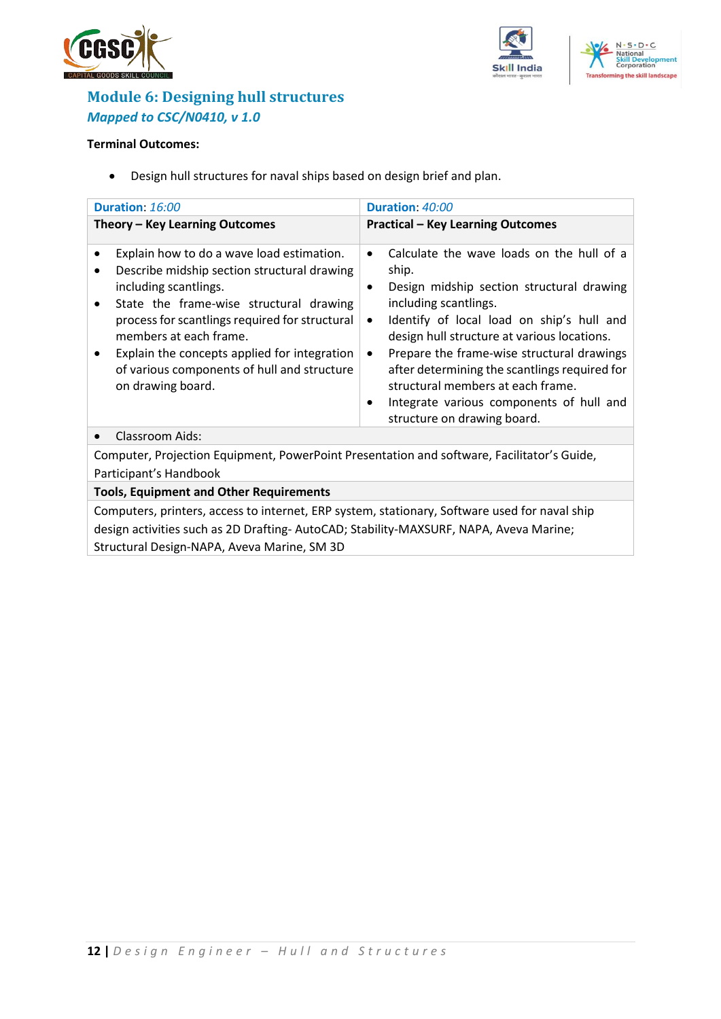

elopment

**Transforming the skill landscape** 



## <span id="page-11-0"></span>**Module 6: Designing hull structures** *Mapped to CSC/N0410, v 1.0*

#### **Terminal Outcomes:**

• Design hull structures for naval ships based on design brief and plan.

| Duration: 16:00                                                                                                                                                                                                                                                                                                                                              | Duration: 40:00                                                                                                                                                                                                                                                                                                                                                                                                                                                                              |  |  |
|--------------------------------------------------------------------------------------------------------------------------------------------------------------------------------------------------------------------------------------------------------------------------------------------------------------------------------------------------------------|----------------------------------------------------------------------------------------------------------------------------------------------------------------------------------------------------------------------------------------------------------------------------------------------------------------------------------------------------------------------------------------------------------------------------------------------------------------------------------------------|--|--|
| Theory - Key Learning Outcomes                                                                                                                                                                                                                                                                                                                               | <b>Practical - Key Learning Outcomes</b>                                                                                                                                                                                                                                                                                                                                                                                                                                                     |  |  |
| Explain how to do a wave load estimation.<br>Describe midship section structural drawing<br>including scantlings.<br>State the frame-wise structural drawing<br>process for scantlings required for structural<br>members at each frame.<br>Explain the concepts applied for integration<br>of various components of hull and structure<br>on drawing board. | Calculate the wave loads on the hull of a<br>$\bullet$<br>ship.<br>Design midship section structural drawing<br>٠<br>including scantlings.<br>Identify of local load on ship's hull and<br>$\bullet$<br>design hull structure at various locations.<br>Prepare the frame-wise structural drawings<br>$\bullet$<br>after determining the scantlings required for<br>structural members at each frame.<br>Integrate various components of hull and<br>$\bullet$<br>structure on drawing board. |  |  |
| Classroom Aids:                                                                                                                                                                                                                                                                                                                                              |                                                                                                                                                                                                                                                                                                                                                                                                                                                                                              |  |  |
| Computer, Projection Equipment, PowerPoint Presentation and software, Facilitator's Guide,<br>Participant's Handbook                                                                                                                                                                                                                                         |                                                                                                                                                                                                                                                                                                                                                                                                                                                                                              |  |  |
| <b>Tools, Equipment and Other Requirements</b>                                                                                                                                                                                                                                                                                                               |                                                                                                                                                                                                                                                                                                                                                                                                                                                                                              |  |  |
| Computers, printers, access to internet, ERP system, stationary, Software used for naval ship<br>design activities such as 2D Drafting-AutoCAD; Stability-MAXSURF, NAPA, Aveva Marine;                                                                                                                                                                       |                                                                                                                                                                                                                                                                                                                                                                                                                                                                                              |  |  |

Structural Design-NAPA, Aveva Marine, SM 3D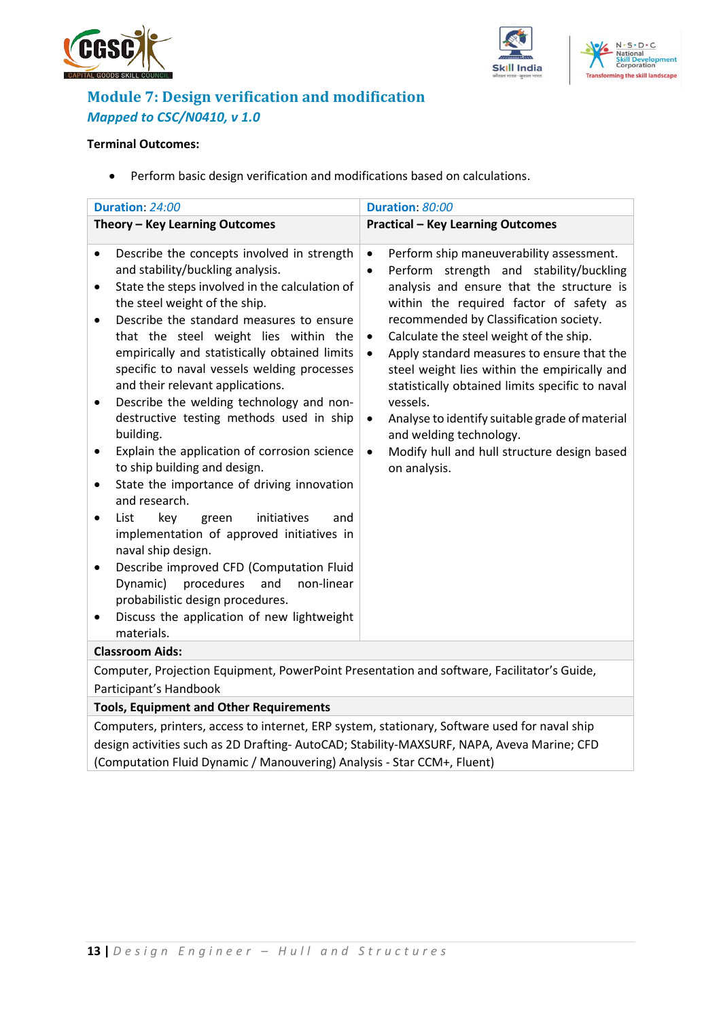





## <span id="page-12-0"></span>**Module 7: Design verification and modification** *Mapped to CSC/N0410, v 1.0*

### **Terminal Outcomes:**

• Perform basic design verification and modifications based on calculations.

| Duration: 24:00                                                                                                                                                                                                                                                                                                                                                                                                                                                                                              | Duration: 80:00                                                                                                                                                                                                                                                                                                                                                                                                                                                                                                                                                     |
|--------------------------------------------------------------------------------------------------------------------------------------------------------------------------------------------------------------------------------------------------------------------------------------------------------------------------------------------------------------------------------------------------------------------------------------------------------------------------------------------------------------|---------------------------------------------------------------------------------------------------------------------------------------------------------------------------------------------------------------------------------------------------------------------------------------------------------------------------------------------------------------------------------------------------------------------------------------------------------------------------------------------------------------------------------------------------------------------|
| Theory - Key Learning Outcomes                                                                                                                                                                                                                                                                                                                                                                                                                                                                               | <b>Practical - Key Learning Outcomes</b>                                                                                                                                                                                                                                                                                                                                                                                                                                                                                                                            |
| Describe the concepts involved in strength<br>and stability/buckling analysis.<br>State the steps involved in the calculation of<br>the steel weight of the ship.<br>Describe the standard measures to ensure<br>$\bullet$<br>that the steel weight lies within the<br>empirically and statistically obtained limits<br>specific to naval vessels welding processes<br>and their relevant applications.<br>Describe the welding technology and non-<br>destructive testing methods used in ship<br>building. | Perform ship maneuverability assessment.<br>٠<br>Perform strength and stability/buckling<br>$\bullet$<br>analysis and ensure that the structure is<br>within the required factor of safety as<br>recommended by Classification society.<br>Calculate the steel weight of the ship.<br>$\bullet$<br>Apply standard measures to ensure that the<br>$\bullet$<br>steel weight lies within the empirically and<br>statistically obtained limits specific to naval<br>vessels.<br>Analyse to identify suitable grade of material<br>$\bullet$<br>and welding technology. |
| Explain the application of corrosion science<br>to ship building and design.<br>State the importance of driving innovation<br>and research.                                                                                                                                                                                                                                                                                                                                                                  | Modify hull and hull structure design based<br>$\bullet$<br>on analysis.                                                                                                                                                                                                                                                                                                                                                                                                                                                                                            |
| List<br>key<br>initiatives<br>green<br>and<br>$\bullet$<br>implementation of approved initiatives in<br>naval ship design.<br>Describe improved CFD (Computation Fluid<br>Dynamic) procedures<br>and<br>non-linear<br>probabilistic design procedures.<br>Discuss the application of new lightweight<br>materials.                                                                                                                                                                                           |                                                                                                                                                                                                                                                                                                                                                                                                                                                                                                                                                                     |
| <b>Classroom Aids:</b>                                                                                                                                                                                                                                                                                                                                                                                                                                                                                       |                                                                                                                                                                                                                                                                                                                                                                                                                                                                                                                                                                     |
| Computer, Projection Equipment, PowerPoint Presentation and software, Facilitator's Guide,                                                                                                                                                                                                                                                                                                                                                                                                                   |                                                                                                                                                                                                                                                                                                                                                                                                                                                                                                                                                                     |

## Participant's Handbook

**Tools, Equipment and Other Requirements**  Computers, printers, access to internet, ERP system, stationary, Software used for naval ship

design activities such as 2D Drafting- AutoCAD; Stability-MAXSURF, NAPA, Aveva Marine; CFD (Computation Fluid Dynamic / Manouvering) Analysis - Star CCM+, Fluent)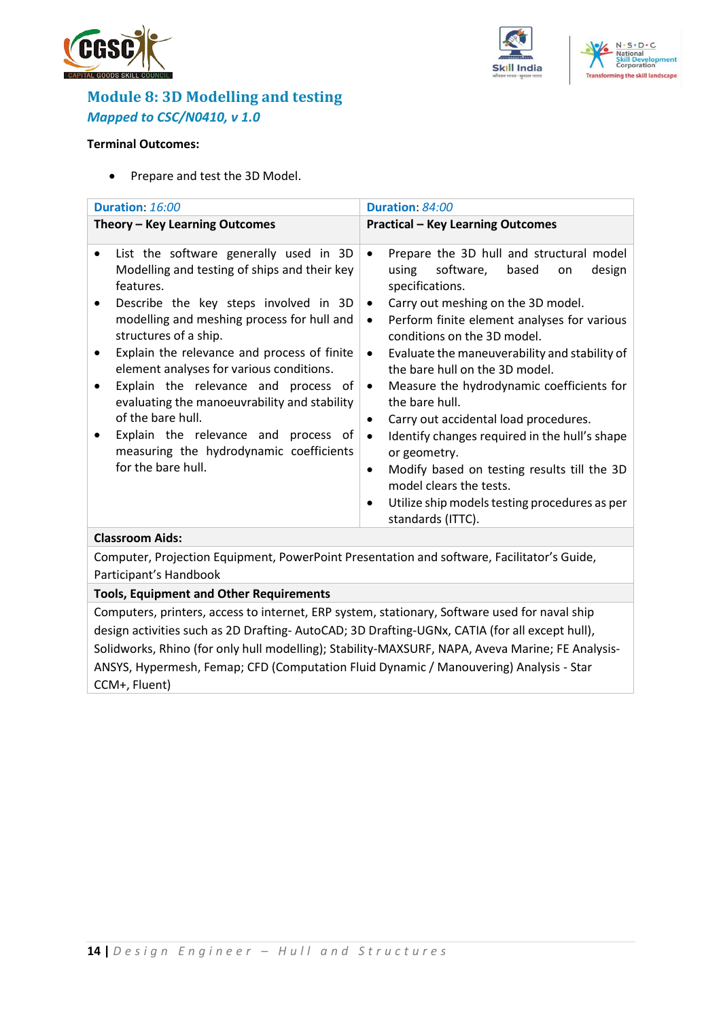





## <span id="page-13-0"></span>**Module 8: 3D Modelling and testing** *Mapped to CSC/N0410, v 1.0*

### **Terminal Outcomes:**

• Prepare and test the 3D Model.

| Duration: 16:00<br>Duration: 84:00                                                                                                                                                                                                                                                                                                                                                                                                                                                                                                                             |                                                                                                                                                                                                                                                                                                                                                                                                                                                                                                                                                                                                                                                                                                                                    |  |  |  |  |
|----------------------------------------------------------------------------------------------------------------------------------------------------------------------------------------------------------------------------------------------------------------------------------------------------------------------------------------------------------------------------------------------------------------------------------------------------------------------------------------------------------------------------------------------------------------|------------------------------------------------------------------------------------------------------------------------------------------------------------------------------------------------------------------------------------------------------------------------------------------------------------------------------------------------------------------------------------------------------------------------------------------------------------------------------------------------------------------------------------------------------------------------------------------------------------------------------------------------------------------------------------------------------------------------------------|--|--|--|--|
| Theory - Key Learning Outcomes                                                                                                                                                                                                                                                                                                                                                                                                                                                                                                                                 | <b>Practical - Key Learning Outcomes</b>                                                                                                                                                                                                                                                                                                                                                                                                                                                                                                                                                                                                                                                                                           |  |  |  |  |
| List the software generally used in 3D<br>$\bullet$<br>Modelling and testing of ships and their key<br>features.<br>Describe the key steps involved in 3D<br>modelling and meshing process for hull and<br>structures of a ship.<br>Explain the relevance and process of finite<br>element analyses for various conditions.<br>Explain the relevance and process of<br>evaluating the manoeuvrability and stability<br>of the bare hull.<br>Explain the relevance and process of<br>$\bullet$<br>measuring the hydrodynamic coefficients<br>for the bare hull. | Prepare the 3D hull and structural model<br>$\bullet$<br>software,<br>based<br>using<br>design<br>on<br>specifications.<br>Carry out meshing on the 3D model.<br>$\bullet$<br>Perform finite element analyses for various<br>$\bullet$<br>conditions on the 3D model.<br>Evaluate the maneuverability and stability of<br>$\bullet$<br>the bare hull on the 3D model.<br>Measure the hydrodynamic coefficients for<br>$\bullet$<br>the bare hull.<br>Carry out accidental load procedures.<br>٠<br>Identify changes required in the hull's shape<br>$\bullet$<br>or geometry.<br>Modify based on testing results till the 3D<br>$\bullet$<br>model clears the tests.<br>Utilize ship models testing procedures as per<br>$\bullet$ |  |  |  |  |
| <b>Classroom Aids:</b>                                                                                                                                                                                                                                                                                                                                                                                                                                                                                                                                         | standards (ITTC).                                                                                                                                                                                                                                                                                                                                                                                                                                                                                                                                                                                                                                                                                                                  |  |  |  |  |
| Computer, Projection Equipment, PowerPoint Presentation and software, Facilitator's Guide,                                                                                                                                                                                                                                                                                                                                                                                                                                                                     |                                                                                                                                                                                                                                                                                                                                                                                                                                                                                                                                                                                                                                                                                                                                    |  |  |  |  |
| Participant's Handbook                                                                                                                                                                                                                                                                                                                                                                                                                                                                                                                                         |                                                                                                                                                                                                                                                                                                                                                                                                                                                                                                                                                                                                                                                                                                                                    |  |  |  |  |
| <b>Tools, Equipment and Other Requirements</b>                                                                                                                                                                                                                                                                                                                                                                                                                                                                                                                 |                                                                                                                                                                                                                                                                                                                                                                                                                                                                                                                                                                                                                                                                                                                                    |  |  |  |  |
| Computere, printere, acesse to internat. FBB sustant stationary, Coftware used for pouglabin                                                                                                                                                                                                                                                                                                                                                                                                                                                                   |                                                                                                                                                                                                                                                                                                                                                                                                                                                                                                                                                                                                                                                                                                                                    |  |  |  |  |

Computers, printers, access to internet, ERP system, stationary, Software used for naval ship design activities such as 2D Drafting- AutoCAD; 3D Drafting-UGNx, CATIA (for all except hull), Solidworks, Rhino (for only hull modelling); Stability-MAXSURF, NAPA, Aveva Marine; FE Analysis-ANSYS, Hypermesh, Femap; CFD (Computation Fluid Dynamic / Manouvering) Analysis - Star CCM+, Fluent)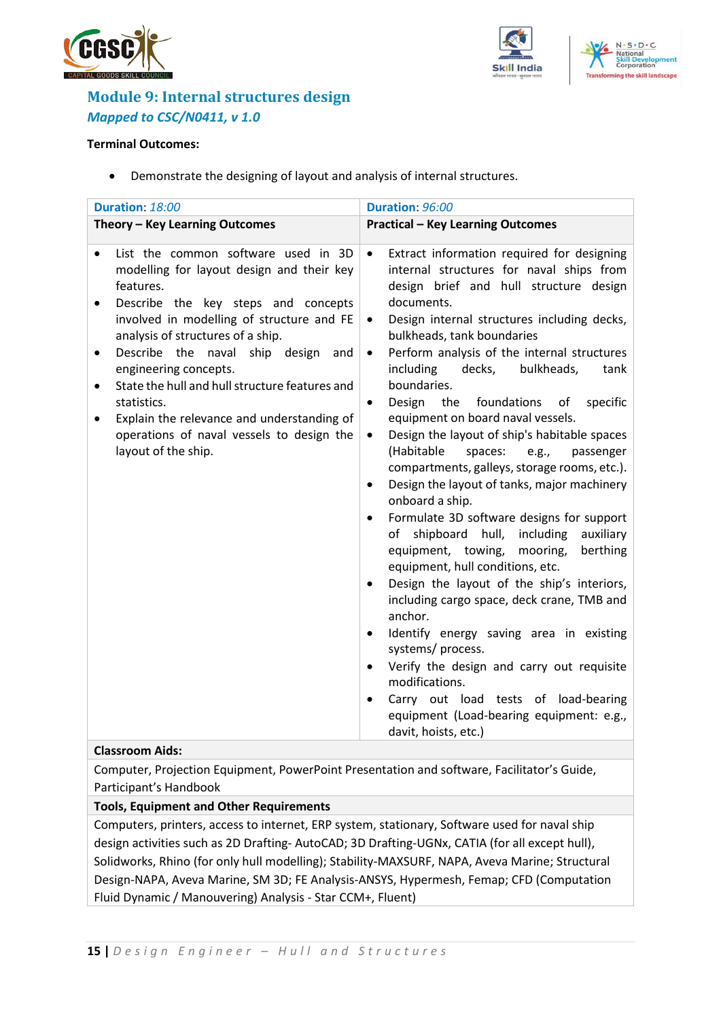





## <span id="page-14-0"></span>**Module 9: Internal structures design** *Mapped to CSC/N0411, v 1.0*

### **Terminal Outcomes:**

• Demonstrate the designing of layout and analysis of internal structures.

| Duration: 18:00                                                                                                                                                                                                                                                                                                                                                                                                                                                                       | Duration: 96:00                                                                                                                                                                                                                                                                                                                                                                                                                                                                                                                                                                                                                                                                                                                                                                                                                                                                                                                                                                                                                                                                                                                                                                                                                                                                                                               |  |  |  |
|---------------------------------------------------------------------------------------------------------------------------------------------------------------------------------------------------------------------------------------------------------------------------------------------------------------------------------------------------------------------------------------------------------------------------------------------------------------------------------------|-------------------------------------------------------------------------------------------------------------------------------------------------------------------------------------------------------------------------------------------------------------------------------------------------------------------------------------------------------------------------------------------------------------------------------------------------------------------------------------------------------------------------------------------------------------------------------------------------------------------------------------------------------------------------------------------------------------------------------------------------------------------------------------------------------------------------------------------------------------------------------------------------------------------------------------------------------------------------------------------------------------------------------------------------------------------------------------------------------------------------------------------------------------------------------------------------------------------------------------------------------------------------------------------------------------------------------|--|--|--|
| Theory - Key Learning Outcomes                                                                                                                                                                                                                                                                                                                                                                                                                                                        | <b>Practical - Key Learning Outcomes</b>                                                                                                                                                                                                                                                                                                                                                                                                                                                                                                                                                                                                                                                                                                                                                                                                                                                                                                                                                                                                                                                                                                                                                                                                                                                                                      |  |  |  |
| List the common software used in 3D<br>$\bullet$<br>modelling for layout design and their key<br>features.<br>Describe the key steps and concepts<br>involved in modelling of structure and FE<br>analysis of structures of a ship.<br>Describe the naval ship design and<br>engineering concepts.<br>State the hull and hull structure features and<br>statistics.<br>Explain the relevance and understanding of<br>operations of naval vessels to design the<br>layout of the ship. | Extract information required for designing<br>$\bullet$<br>internal structures for naval ships from<br>design brief and hull structure design<br>documents.<br>Design internal structures including decks,<br>$\bullet$<br>bulkheads, tank boundaries<br>Perform analysis of the internal structures<br>$\bullet$<br>including<br>decks,<br>bulkheads,<br>tank<br>boundaries.<br>Design<br>the<br>foundations of<br>specific<br>$\bullet$<br>equipment on board naval vessels.<br>Design the layout of ship's habitable spaces<br>$\bullet$<br>(Habitable<br>spaces:<br>e.g.,<br>passenger<br>compartments, galleys, storage rooms, etc.).<br>Design the layout of tanks, major machinery<br>$\bullet$<br>onboard a ship.<br>Formulate 3D software designs for support<br>$\bullet$<br>shipboard<br>hull,<br>including<br>auxiliary<br>of<br>equipment, towing, mooring,<br>berthing<br>equipment, hull conditions, etc.<br>Design the layout of the ship's interiors,<br>$\bullet$<br>including cargo space, deck crane, TMB and<br>anchor.<br>Identify energy saving area in existing<br>$\bullet$<br>systems/process.<br>Verify the design and carry out requisite<br>$\bullet$<br>modifications.<br>Carry out load tests of load-bearing<br>$\bullet$<br>equipment (Load-bearing equipment: e.g.,<br>davit, hoists, etc.) |  |  |  |

#### **Classroom Aids:**

Computer, Projection Equipment, PowerPoint Presentation and software, Facilitator's Guide, Participant's Handbook

### **Tools, Equipment and Other Requirements**

Computers, printers, access to internet, ERP system, stationary, Software used for naval ship design activities such as 2D Drafting- AutoCAD; 3D Drafting-UGNx, CATIA (for all except hull), Solidworks, Rhino (for only hull modelling); Stability-MAXSURF, NAPA, Aveva Marine; Structural Design-NAPA, Aveva Marine, SM 3D; FE Analysis-ANSYS, Hypermesh, Femap; CFD (Computation Fluid Dynamic / Manouvering) Analysis - Star CCM+, Fluent)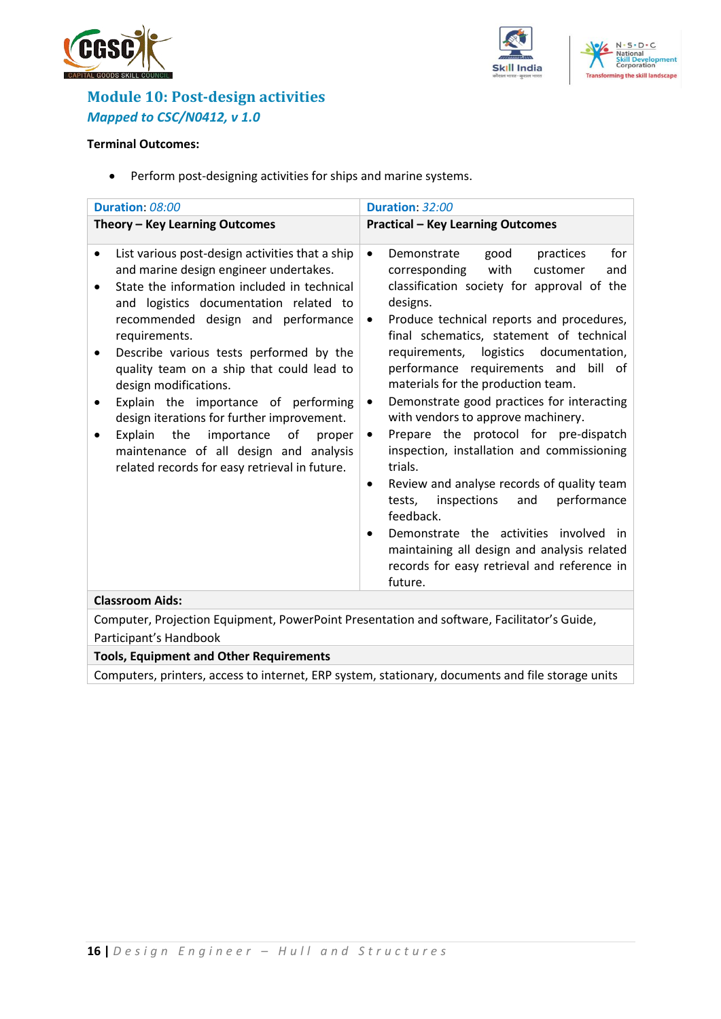





## <span id="page-15-0"></span>**Module 10: Post-design activities** *Mapped to CSC/N0412, v 1.0*

#### **Terminal Outcomes:**

• Perform post-designing activities for ships and marine systems.

| Duration: 08:00<br>Duration: 32:00                                                                                                                                                                                                                                                                                                                                                                                                                                                                                                                                                                                    |                                                                                                                                                                                                                                                                                                                                                                                                                                                                                                                                                                                                                                                                                                                                                                                                                                                                               |  |  |  |  |
|-----------------------------------------------------------------------------------------------------------------------------------------------------------------------------------------------------------------------------------------------------------------------------------------------------------------------------------------------------------------------------------------------------------------------------------------------------------------------------------------------------------------------------------------------------------------------------------------------------------------------|-------------------------------------------------------------------------------------------------------------------------------------------------------------------------------------------------------------------------------------------------------------------------------------------------------------------------------------------------------------------------------------------------------------------------------------------------------------------------------------------------------------------------------------------------------------------------------------------------------------------------------------------------------------------------------------------------------------------------------------------------------------------------------------------------------------------------------------------------------------------------------|--|--|--|--|
| Theory - Key Learning Outcomes                                                                                                                                                                                                                                                                                                                                                                                                                                                                                                                                                                                        | <b>Practical - Key Learning Outcomes</b>                                                                                                                                                                                                                                                                                                                                                                                                                                                                                                                                                                                                                                                                                                                                                                                                                                      |  |  |  |  |
| List various post-design activities that a ship<br>$\bullet$<br>and marine design engineer undertakes.<br>State the information included in technical<br>$\bullet$<br>and logistics documentation related to<br>recommended design and performance<br>requirements.<br>Describe various tests performed by the<br>quality team on a ship that could lead to<br>design modifications.<br>Explain the importance of performing<br>design iterations for further improvement.<br>the<br>importance<br>of<br>Explain<br>proper<br>maintenance of all design and analysis<br>related records for easy retrieval in future. | Demonstrate<br>for<br>good<br>practices<br>$\bullet$<br>corresponding<br>with<br>customer<br>and<br>classification society for approval of the<br>designs.<br>Produce technical reports and procedures,<br>$\bullet$<br>final schematics, statement of technical<br>logistics documentation,<br>requirements,<br>performance requirements and<br>bill of<br>materials for the production team.<br>Demonstrate good practices for interacting<br>٠<br>with vendors to approve machinery.<br>Prepare the protocol for pre-dispatch<br>$\bullet$<br>inspection, installation and commissioning<br>trials.<br>Review and analyse records of quality team<br>٠<br>performance<br>inspections<br>and<br>tests,<br>feedback.<br>Demonstrate the activities involved in<br>٠<br>maintaining all design and analysis related<br>records for easy retrieval and reference in<br>future. |  |  |  |  |
| <b>Classroom Aids:</b>                                                                                                                                                                                                                                                                                                                                                                                                                                                                                                                                                                                                |                                                                                                                                                                                                                                                                                                                                                                                                                                                                                                                                                                                                                                                                                                                                                                                                                                                                               |  |  |  |  |
| Computer, Projection Equipment, PowerPoint Presentation and software, Facilitator's Guide,                                                                                                                                                                                                                                                                                                                                                                                                                                                                                                                            |                                                                                                                                                                                                                                                                                                                                                                                                                                                                                                                                                                                                                                                                                                                                                                                                                                                                               |  |  |  |  |
| Participant's Handbook                                                                                                                                                                                                                                                                                                                                                                                                                                                                                                                                                                                                |                                                                                                                                                                                                                                                                                                                                                                                                                                                                                                                                                                                                                                                                                                                                                                                                                                                                               |  |  |  |  |

## **Tools, Equipment and Other Requirements**

Computers, printers, access to internet, ERP system, stationary, documents and file storage units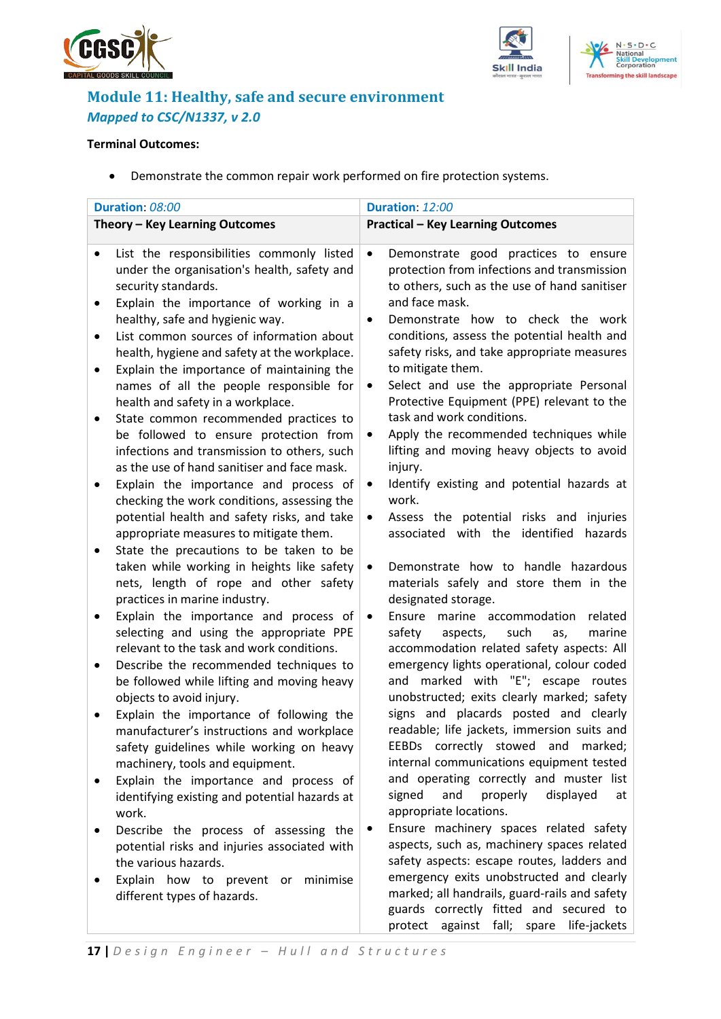





## <span id="page-16-0"></span>**Module 11: Healthy, safe and secure environment** *Mapped to CSC/N1337, v 2.0*

#### **Terminal Outcomes:**

• Demonstrate the common repair work performed on fire protection systems.

|           | Duration: 08:00                                                                                                                                                     | Duration: 12:00                                                                                                                                                                |  |  |  |
|-----------|---------------------------------------------------------------------------------------------------------------------------------------------------------------------|--------------------------------------------------------------------------------------------------------------------------------------------------------------------------------|--|--|--|
|           | Theory - Key Learning Outcomes                                                                                                                                      | <b>Practical - Key Learning Outcomes</b>                                                                                                                                       |  |  |  |
|           |                                                                                                                                                                     |                                                                                                                                                                                |  |  |  |
| $\bullet$ | List the responsibilities commonly listed<br>under the organisation's health, safety and<br>security standards.<br>Explain the importance of working in a           | Demonstrate good practices to ensure<br>$\bullet$<br>protection from infections and transmission<br>to others, such as the use of hand sanitiser<br>and face mask.             |  |  |  |
| $\bullet$ | healthy, safe and hygienic way.<br>List common sources of information about                                                                                         | Demonstrate how to check the work<br>$\bullet$<br>conditions, assess the potential health and                                                                                  |  |  |  |
|           | health, hygiene and safety at the workplace.<br>Explain the importance of maintaining the                                                                           | safety risks, and take appropriate measures<br>to mitigate them.                                                                                                               |  |  |  |
|           | names of all the people responsible for<br>health and safety in a workplace.<br>State common recommended practices to                                               | Select and use the appropriate Personal<br>٠<br>Protective Equipment (PPE) relevant to the<br>task and work conditions.                                                        |  |  |  |
|           | be followed to ensure protection from<br>infections and transmission to others, such<br>as the use of hand sanitiser and face mask.                                 | Apply the recommended techniques while<br>$\bullet$<br>lifting and moving heavy objects to avoid<br>injury.                                                                    |  |  |  |
|           | Explain the importance and process of<br>checking the work conditions, assessing the<br>potential health and safety risks, and take                                 | Identify existing and potential hazards at<br>$\bullet$<br>work.<br>Assess the potential risks and<br>injuries<br>$\bullet$                                                    |  |  |  |
|           | appropriate measures to mitigate them.<br>State the precautions to be taken to be                                                                                   | associated with the identified<br>hazards                                                                                                                                      |  |  |  |
|           | taken while working in heights like safety<br>nets, length of rope and other safety<br>practices in marine industry.                                                | Demonstrate how to handle hazardous<br>$\bullet$<br>materials safely and store them in the<br>designated storage.                                                              |  |  |  |
|           | Explain the importance and process of<br>selecting and using the appropriate PPE<br>relevant to the task and work conditions.                                       | Ensure marine accommodation<br>related<br>$\bullet$<br>safety<br>marine<br>aspects,<br>such<br>as,<br>accommodation related safety aspects: All                                |  |  |  |
|           | Describe the recommended techniques to<br>be followed while lifting and moving heavy<br>objects to avoid injury.                                                    | emergency lights operational, colour coded<br>and marked with "E"; escape routes<br>unobstructed; exits clearly marked; safety                                                 |  |  |  |
|           | Explain the importance of following the<br>manufacturer's instructions and workplace<br>safety guidelines while working on heavy<br>machinery, tools and equipment. | signs and placards posted and clearly<br>readable; life jackets, immersion suits and<br>EEBDs correctly stowed and marked;<br>internal communications equipment tested         |  |  |  |
|           | Explain the importance and process of<br>identifying existing and potential hazards at<br>work.                                                                     | and operating correctly and muster list<br>and<br>properly<br>displayed<br>signed<br>at<br>appropriate locations.                                                              |  |  |  |
|           | Describe the process of assessing the<br>potential risks and injuries associated with<br>the various hazards.                                                       | Ensure machinery spaces related safety<br>aspects, such as, machinery spaces related<br>safety aspects: escape routes, ladders and<br>emergency exits unobstructed and clearly |  |  |  |
|           | Explain how to prevent or<br>minimise<br>different types of hazards.                                                                                                | marked; all handrails, guard-rails and safety<br>guards correctly fitted and secured to<br>protect against fall; spare life-jackets                                            |  |  |  |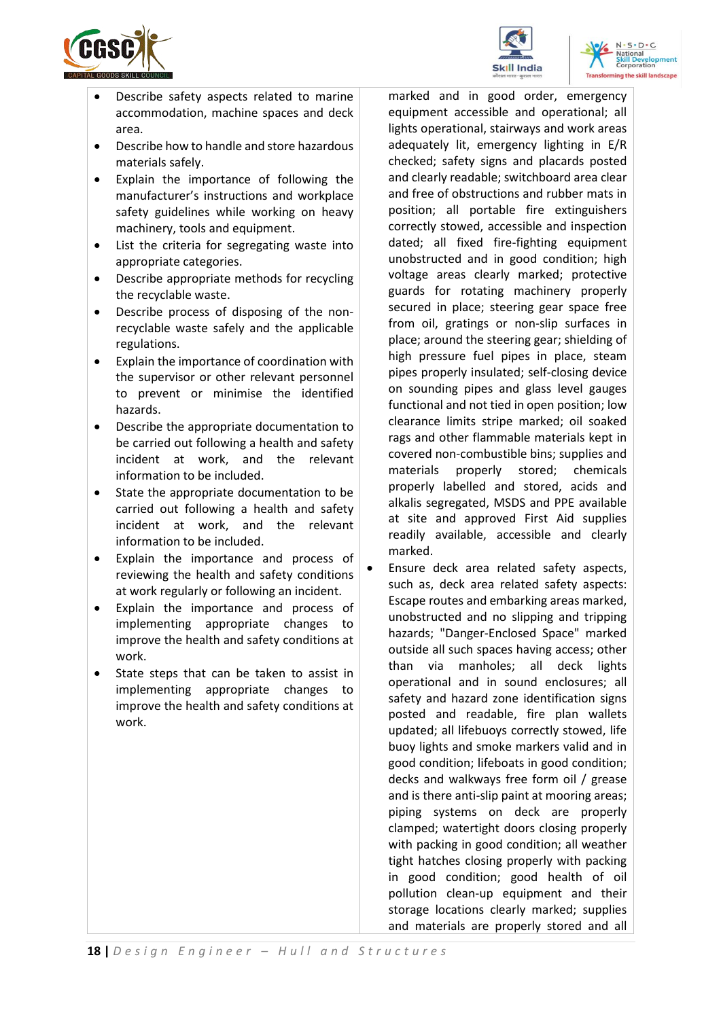

- Describe safety aspects related to marine accommodation, machine spaces and deck area.
- Describe how to handle and store hazardous materials safely.
- Explain the importance of following the manufacturer's instructions and workplace safety guidelines while working on heavy machinery, tools and equipment.
- List the criteria for segregating waste into appropriate categories.
- Describe appropriate methods for recycling the recyclable waste.
- Describe process of disposing of the nonrecyclable waste safely and the applicable regulations.
- Explain the importance of coordination with the supervisor or other relevant personnel to prevent or minimise the identified hazards.
- Describe the appropriate documentation to be carried out following a health and safety incident at work, and the relevant information to be included.
- State the appropriate documentation to be carried out following a health and safety incident at work, and the relevant information to be included.
- Explain the importance and process of reviewing the health and safety conditions at work regularly or following an incident.
- Explain the importance and process of implementing appropriate changes to improve the health and safety conditions at work.
- State steps that can be taken to assist in implementing appropriate changes to improve the health and safety conditions at work.

marked and in good order, emergency equipment accessible and operational; all lights operational, stairways and work areas adequately lit, emergency lighting in E/R checked; safety signs and placards posted and clearly readable; switchboard area clear and free of obstructions and rubber mats in position; all portable fire extinguishers correctly stowed, accessible and inspection dated; all fixed fire-fighting equipment unobstructed and in good condition; high voltage areas clearly marked; protective guards for rotating machinery properly secured in place; steering gear space free from oil, gratings or non-slip surfaces in place; around the steering gear; shielding of high pressure fuel pipes in place, steam pipes properly insulated; self-closing device on sounding pipes and glass level gauges functional and not tied in open position; low clearance limits stripe marked; oil soaked rags and other flammable materials kept in covered non-combustible bins; supplies and materials properly stored; chemicals properly labelled and stored, acids and alkalis segregated, MSDS and PPE available at site and approved First Aid supplies readily available, accessible and clearly marked.

• Ensure deck area related safety aspects, such as, deck area related safety aspects: Escape routes and embarking areas marked, unobstructed and no slipping and tripping hazards; "Danger-Enclosed Space" marked outside all such spaces having access; other than via manholes; all deck lights operational and in sound enclosures; all safety and hazard zone identification signs posted and readable, fire plan wallets updated; all lifebuoys correctly stowed, life buoy lights and smoke markers valid and in good condition; lifeboats in good condition; decks and walkways free form oil / grease and is there anti-slip paint at mooring areas; piping systems on deck are properly clamped; watertight doors closing properly with packing in good condition; all weather tight hatches closing properly with packing in good condition; good health of oil pollution clean-up equipment and their storage locations clearly marked; supplies and materials are properly stored and all



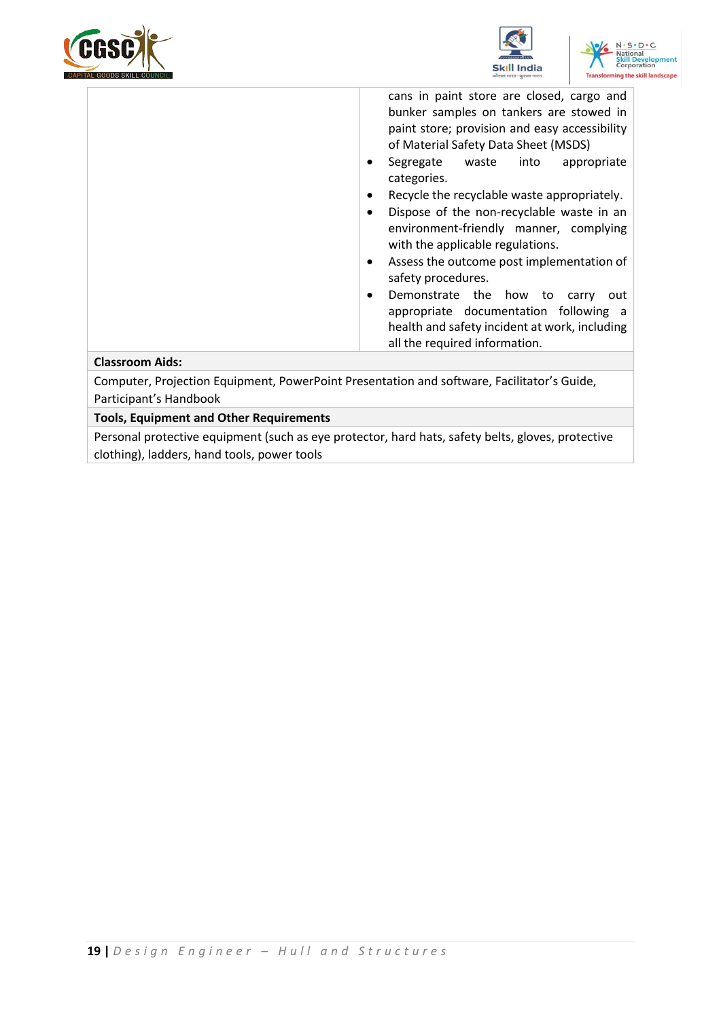





cans in paint store are closed, cargo and bunker samples on tankers are stowed in paint store; provision and easy accessibility of Material Safety Data Sheet (MSDS)

- Segregate waste into appropriate categories.
- Recycle the recyclable waste appropriately.
- Dispose of the non-recyclable waste in an environment-friendly manner, complying with the applicable regulations.
- Assess the outcome post implementation of safety procedures.
- Demonstrate the how to carry out appropriate documentation following a health and safety incident at work, including all the required information.

#### **Classroom Aids:**

Computer, Projection Equipment, PowerPoint Presentation and software, Facilitator's Guide, Participant's Handbook

#### **Tools, Equipment and Other Requirements**

Personal protective equipment (such as eye protector, hard hats, safety belts, gloves, protective clothing), ladders, hand tools, power tools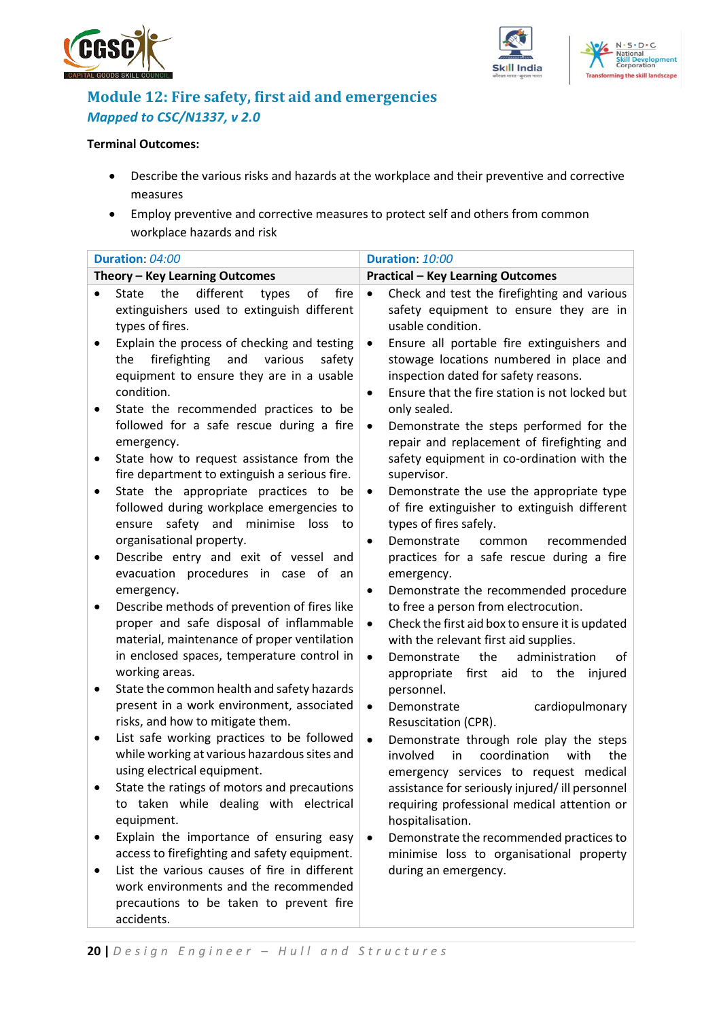





## <span id="page-19-0"></span>**Module 12: Fire safety, first aid and emergencies** *Mapped to CSC/N1337, v 2.0*

#### **Terminal Outcomes:**

- Describe the various risks and hazards at the workplace and their preventive and corrective measures
- Employ preventive and corrective measures to protect self and others from common workplace hazards and risk

| Duration: 04:00                                                                                                                                                                                               | Duration: 10:00                                                                                                                                                                                                                                           |
|---------------------------------------------------------------------------------------------------------------------------------------------------------------------------------------------------------------|-----------------------------------------------------------------------------------------------------------------------------------------------------------------------------------------------------------------------------------------------------------|
| Theory - Key Learning Outcomes                                                                                                                                                                                | <b>Practical - Key Learning Outcomes</b>                                                                                                                                                                                                                  |
| different<br>the<br>of<br>fire<br><b>State</b><br>types<br>$\bullet$<br>extinguishers used to extinguish different<br>types of fires.                                                                         | Check and test the firefighting and various<br>$\bullet$<br>safety equipment to ensure they are in<br>usable condition.                                                                                                                                   |
| Explain the process of checking and testing<br>$\bullet$<br>the<br>firefighting<br>and<br>various<br>safety<br>equipment to ensure they are in a usable<br>condition.                                         | Ensure all portable fire extinguishers and<br>$\bullet$<br>stowage locations numbered in place and<br>inspection dated for safety reasons.<br>Ensure that the fire station is not locked but<br>$\bullet$                                                 |
| State the recommended practices to be<br>followed for a safe rescue during a fire<br>emergency.<br>State how to request assistance from the<br>$\bullet$                                                      | only sealed.<br>Demonstrate the steps performed for the<br>$\bullet$<br>repair and replacement of firefighting and<br>safety equipment in co-ordination with the                                                                                          |
| fire department to extinguish a serious fire.<br>State the appropriate practices to be<br>followed during workplace emergencies to<br>safety and minimise<br>ensure<br>loss<br>to<br>organisational property. | supervisor.<br>Demonstrate the use the appropriate type<br>$\bullet$<br>of fire extinguisher to extinguish different<br>types of fires safely.<br>Demonstrate<br>common<br>recommended<br>$\bullet$                                                       |
| Describe entry and exit of vessel and<br>$\bullet$<br>evacuation procedures in case of<br>an<br>emergency.                                                                                                    | practices for a safe rescue during a fire<br>emergency.<br>Demonstrate the recommended procedure<br>$\bullet$                                                                                                                                             |
| Describe methods of prevention of fires like<br>proper and safe disposal of inflammable<br>material, maintenance of proper ventilation<br>in enclosed spaces, temperature control in<br>working areas.        | to free a person from electrocution.<br>Check the first aid box to ensure it is updated<br>$\bullet$<br>with the relevant first aid supplies.<br>the<br>administration<br>Demonstrate<br>$\bullet$<br>οf<br>first aid<br>to the<br>appropriate<br>injured |
| State the common health and safety hazards<br>٠<br>present in a work environment, associated<br>risks, and how to mitigate them.                                                                              | personnel.<br>cardiopulmonary<br>Demonstrate<br>$\bullet$<br>Resuscitation (CPR).                                                                                                                                                                         |
| List safe working practices to be followed<br>while working at various hazardous sites and<br>using electrical equipment.<br>State the ratings of motors and precautions                                      | Demonstrate through role play the steps<br>$\bullet$<br>involved<br>coordination<br>with<br>the<br>in<br>emergency services to request medical<br>assistance for seriously injured/ ill personnel                                                         |
| to taken while dealing with electrical<br>equipment.<br>Explain the importance of ensuring easy<br>٠                                                                                                          | requiring professional medical attention or<br>hospitalisation.<br>Demonstrate the recommended practices to<br>$\bullet$                                                                                                                                  |
| access to firefighting and safety equipment.<br>List the various causes of fire in different<br>work environments and the recommended<br>precautions to be taken to prevent fire<br>accidents.                | minimise loss to organisational property<br>during an emergency.                                                                                                                                                                                          |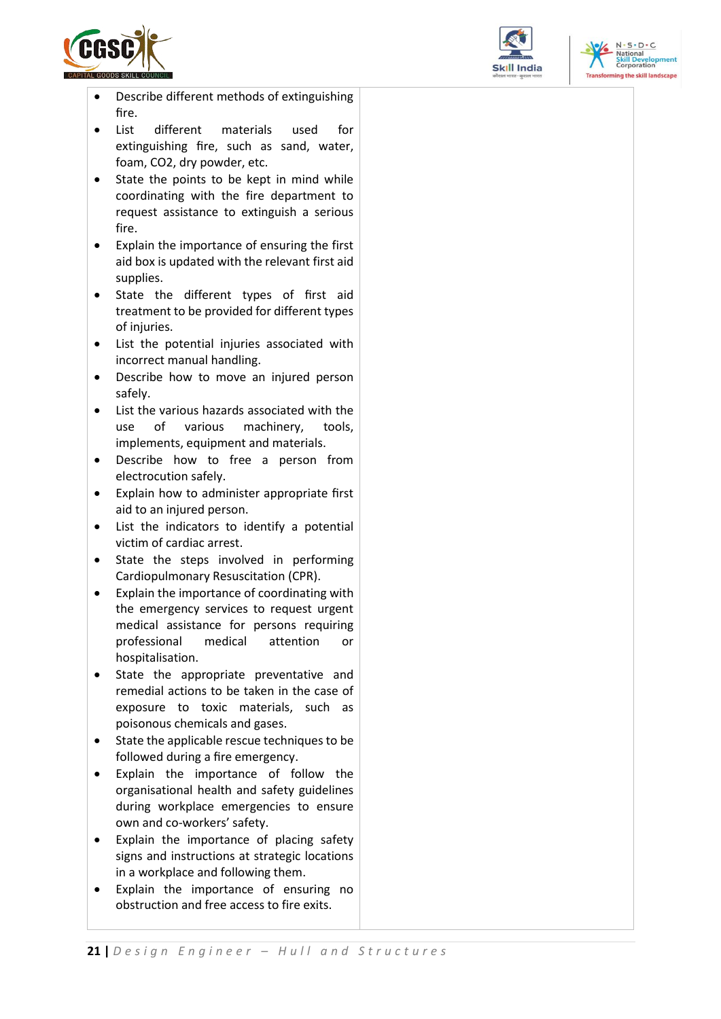

- Describe different methods of extinguishing fire.
- List different materials used for extinguishing fire, such as sand, water, foam, CO2, dry powder, etc.
- State the points to be kept in mind while coordinating with the fire department to request assistance to extinguish a serious fire.
- Explain the importance of ensuring the first aid box is updated with the relevant first aid supplies.
- State the different types of first aid treatment to be provided for different types of injuries.
- List the potential injuries associated with incorrect manual handling.
- Describe how to move an injured person safely.
- List the various hazards associated with the use of various machinery, tools, implements, equipment and materials.
- Describe how to free a person from electrocution safely.
- Explain how to administer appropriate first aid to an injured person.
- List the indicators to identify a potential victim of cardiac arrest.
- State the steps involved in performing Cardiopulmonary Resuscitation (CPR).
- Explain the importance of coordinating with the emergency services to request urgent medical assistance for persons requiring professional medical attention or hospitalisation.
- State the appropriate preventative and remedial actions to be taken in the case of exposure to toxic materials, such as poisonous chemicals and gases.
- State the applicable rescue techniques to be followed during a fire emergency.
- Explain the importance of follow the organisational health and safety guidelines during workplace emergencies to ensure own and co-workers' safety.
- Explain the importance of placing safety signs and instructions at strategic locations in a workplace and following them.
- Explain the importance of ensuring no obstruction and free access to fire exits.



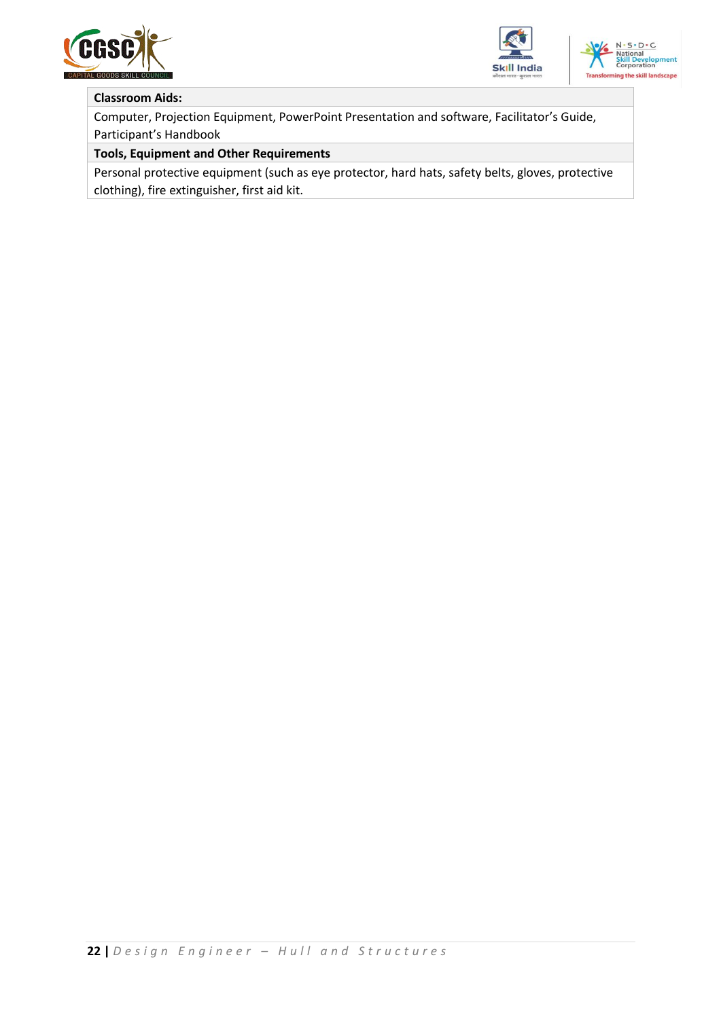





### **Classroom Aids:**

Computer, Projection Equipment, PowerPoint Presentation and software, Facilitator's Guide, Participant's Handbook

#### **Tools, Equipment and Other Requirements**

Personal protective equipment (such as eye protector, hard hats, safety belts, gloves, protective clothing), fire extinguisher, first aid kit.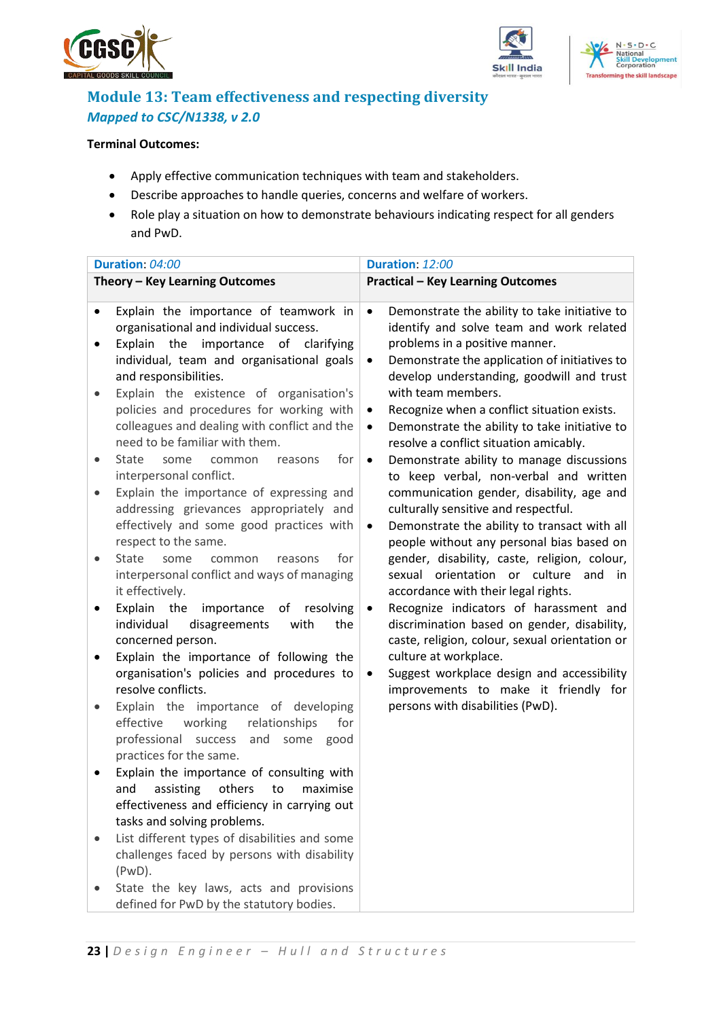





## <span id="page-22-0"></span>**Module 13: Team effectiveness and respecting diversity** *Mapped to CSC/N1338, v 2.0*

### **Terminal Outcomes:**

- Apply effective communication techniques with team and stakeholders.
- Describe approaches to handle queries, concerns and welfare of workers.
- Role play a situation on how to demonstrate behaviours indicating respect for all genders and PwD.

|                                                               | Theory - Key Learning Outcomes                                                                                                                                                                                                                                                                                                                                                                                                                                                                                                                                                                                                                                                                                                                                                                                                                                                                                                                                                                                                                                                                                                                               |                                                                                              | <b>Practical - Key Learning Outcomes</b>                                                                                                                                                                                                                                                                                                                                                                                                                                                                                                                                                                                                                                                                                                                                                                                                                                                                                                                                                                                                                                                                           |
|---------------------------------------------------------------|--------------------------------------------------------------------------------------------------------------------------------------------------------------------------------------------------------------------------------------------------------------------------------------------------------------------------------------------------------------------------------------------------------------------------------------------------------------------------------------------------------------------------------------------------------------------------------------------------------------------------------------------------------------------------------------------------------------------------------------------------------------------------------------------------------------------------------------------------------------------------------------------------------------------------------------------------------------------------------------------------------------------------------------------------------------------------------------------------------------------------------------------------------------|----------------------------------------------------------------------------------------------|--------------------------------------------------------------------------------------------------------------------------------------------------------------------------------------------------------------------------------------------------------------------------------------------------------------------------------------------------------------------------------------------------------------------------------------------------------------------------------------------------------------------------------------------------------------------------------------------------------------------------------------------------------------------------------------------------------------------------------------------------------------------------------------------------------------------------------------------------------------------------------------------------------------------------------------------------------------------------------------------------------------------------------------------------------------------------------------------------------------------|
| $\bullet$<br>$\bullet$<br>$\bullet$<br>$\bullet$<br>$\bullet$ | Duration: 04:00<br>Explain the importance of teamwork in<br>organisational and individual success.<br>Explain the importance of clarifying<br>individual, team and organisational goals<br>and responsibilities.<br>Explain the existence of organisation's<br>policies and procedures for working with<br>colleagues and dealing with conflict and the<br>need to be familiar with them.<br><b>State</b><br>for<br>some<br>common<br>reasons<br>interpersonal conflict.<br>Explain the importance of expressing and<br>addressing grievances appropriately and<br>effectively and some good practices with<br>respect to the same.<br><b>State</b><br>for<br>some<br>common<br>reasons<br>interpersonal conflict and ways of managing<br>it effectively.<br>Explain the<br>importance<br>resolving<br>of<br>individual<br>disagreements<br>with<br>the<br>concerned person.<br>Explain the importance of following the<br>organisation's policies and procedures to<br>resolve conflicts.<br>Explain the importance of developing<br>working<br>relationships<br>effective<br>for<br>and<br>professional<br>success<br>some good<br>practices for the same. | $\bullet$<br>$\bullet$<br>$\bullet$<br>$\bullet$<br>$\bullet$<br>$\bullet$<br>$\bullet$<br>٠ | Duration: 12:00<br>Demonstrate the ability to take initiative to<br>identify and solve team and work related<br>problems in a positive manner.<br>Demonstrate the application of initiatives to<br>develop understanding, goodwill and trust<br>with team members.<br>Recognize when a conflict situation exists.<br>Demonstrate the ability to take initiative to<br>resolve a conflict situation amicably.<br>Demonstrate ability to manage discussions<br>to keep verbal, non-verbal and written<br>communication gender, disability, age and<br>culturally sensitive and respectful.<br>Demonstrate the ability to transact with all<br>people without any personal bias based on<br>gender, disability, caste, religion, colour,<br>sexual orientation or culture and in<br>accordance with their legal rights.<br>Recognize indicators of harassment and<br>discrimination based on gender, disability,<br>caste, religion, colour, sexual orientation or<br>culture at workplace.<br>Suggest workplace design and accessibility<br>improvements to make it friendly for<br>persons with disabilities (PwD). |
|                                                               | Explain the importance of consulting with<br>and<br>assisting<br>others<br>maximise<br>to<br>effectiveness and efficiency in carrying out<br>tasks and solving problems.<br>List different types of disabilities and some<br>challenges faced by persons with disability                                                                                                                                                                                                                                                                                                                                                                                                                                                                                                                                                                                                                                                                                                                                                                                                                                                                                     |                                                                                              |                                                                                                                                                                                                                                                                                                                                                                                                                                                                                                                                                                                                                                                                                                                                                                                                                                                                                                                                                                                                                                                                                                                    |
|                                                               | $(PWD)$ .<br>State the key laws, acts and provisions<br>defined for PwD by the statutory bodies.                                                                                                                                                                                                                                                                                                                                                                                                                                                                                                                                                                                                                                                                                                                                                                                                                                                                                                                                                                                                                                                             |                                                                                              |                                                                                                                                                                                                                                                                                                                                                                                                                                                                                                                                                                                                                                                                                                                                                                                                                                                                                                                                                                                                                                                                                                                    |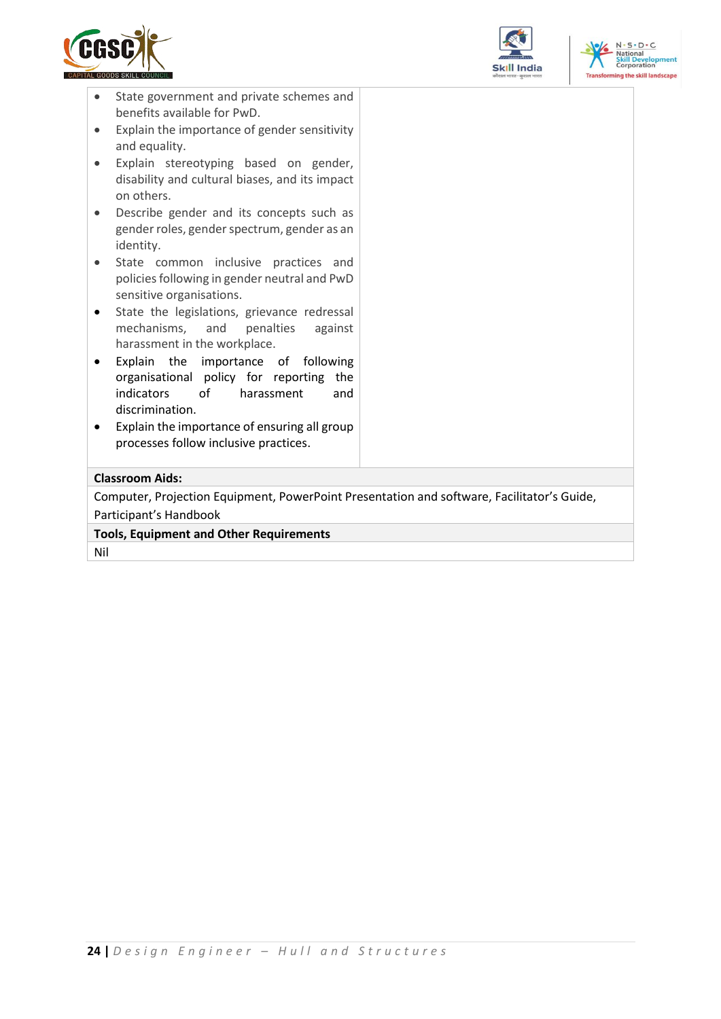





- State government and private schemes and benefits available for PwD.
- Explain the importance of gender sensitivity and equality.
- Explain stereotyping based on gender, disability and cultural biases, and its impact on others.
- Describe gender and its concepts such as gender roles, gender spectrum, gender as an identity.
- State common inclusive practices and policies following in gender neutral and PwD sensitive organisations.
- State the legislations, grievance redressal mechanisms, and penalties against harassment in the workplace.
- Explain the importance of following organisational policy for reporting the indicators of harassment and discrimination.
- Explain the importance of ensuring all group processes follow inclusive practices.

## **Classroom Aids:**

Computer, Projection Equipment, PowerPoint Presentation and software, Facilitator's Guide, Participant's Handbook

**Tools, Equipment and Other Requirements** 

Nil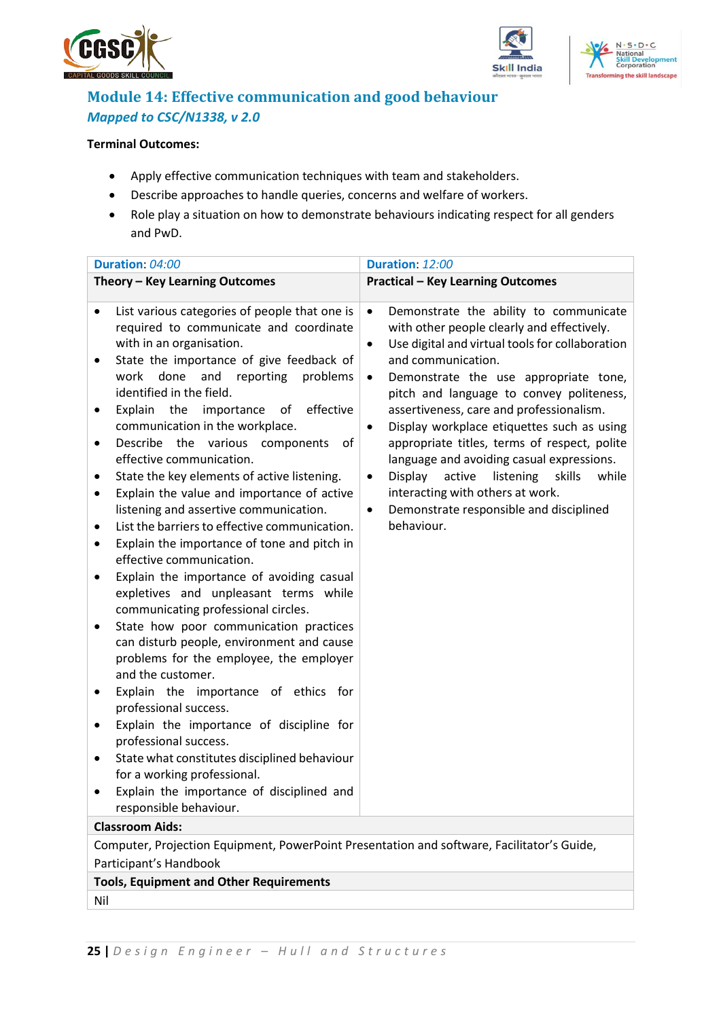





## <span id="page-24-0"></span>**Module 14: Effective communication and good behaviour** *Mapped to CSC/N1338, v 2.0*

### **Terminal Outcomes:**

- Apply effective communication techniques with team and stakeholders.
- Describe approaches to handle queries, concerns and welfare of workers.
- Role play a situation on how to demonstrate behaviours indicating respect for all genders and PwD.

| Duration: 04:00                                                                                                                                                                                                                                                                                                                                                                                                                                                                                                                                                                                                                                                                                                                                                                                                                                                                                                                                                                                                                                                                                                                                                                                                                                                                                                 | Duration: 12:00                                                                                                                                                                                                                                                                                                                                                                                                                                                                                                                                                                                                                                                           |  |  |  |  |
|-----------------------------------------------------------------------------------------------------------------------------------------------------------------------------------------------------------------------------------------------------------------------------------------------------------------------------------------------------------------------------------------------------------------------------------------------------------------------------------------------------------------------------------------------------------------------------------------------------------------------------------------------------------------------------------------------------------------------------------------------------------------------------------------------------------------------------------------------------------------------------------------------------------------------------------------------------------------------------------------------------------------------------------------------------------------------------------------------------------------------------------------------------------------------------------------------------------------------------------------------------------------------------------------------------------------|---------------------------------------------------------------------------------------------------------------------------------------------------------------------------------------------------------------------------------------------------------------------------------------------------------------------------------------------------------------------------------------------------------------------------------------------------------------------------------------------------------------------------------------------------------------------------------------------------------------------------------------------------------------------------|--|--|--|--|
| Theory - Key Learning Outcomes                                                                                                                                                                                                                                                                                                                                                                                                                                                                                                                                                                                                                                                                                                                                                                                                                                                                                                                                                                                                                                                                                                                                                                                                                                                                                  | <b>Practical - Key Learning Outcomes</b>                                                                                                                                                                                                                                                                                                                                                                                                                                                                                                                                                                                                                                  |  |  |  |  |
| List various categories of people that one is<br>$\bullet$<br>required to communicate and coordinate<br>with in an organisation.<br>State the importance of give feedback of<br>done<br>and reporting<br>work<br>problems<br>identified in the field.<br>Explain the<br>importance<br>effective<br>of<br>communication in the workplace.<br>Describe<br>the<br>various<br>components<br>of<br>٠<br>effective communication.<br>State the key elements of active listening.<br>Explain the value and importance of active<br>٠<br>listening and assertive communication.<br>List the barriers to effective communication.<br>٠<br>Explain the importance of tone and pitch in<br>٠<br>effective communication.<br>Explain the importance of avoiding casual<br>expletives and unpleasant terms while<br>communicating professional circles.<br>State how poor communication practices<br>$\bullet$<br>can disturb people, environment and cause<br>problems for the employee, the employer<br>and the customer.<br>Explain the importance of ethics for<br>professional success.<br>Explain the importance of discipline for<br>professional success.<br>State what constitutes disciplined behaviour<br>٠<br>for a working professional.<br>Explain the importance of disciplined and<br>responsible behaviour. | Demonstrate the ability to communicate<br>$\bullet$<br>with other people clearly and effectively.<br>Use digital and virtual tools for collaboration<br>$\bullet$<br>and communication.<br>Demonstrate the use appropriate tone,<br>$\bullet$<br>pitch and language to convey politeness,<br>assertiveness, care and professionalism.<br>Display workplace etiquettes such as using<br>$\bullet$<br>appropriate titles, terms of respect, polite<br>language and avoiding casual expressions.<br>listening<br>skills<br>Display<br>active<br>while<br>$\bullet$<br>interacting with others at work.<br>Demonstrate responsible and disciplined<br>$\bullet$<br>behaviour. |  |  |  |  |
| <b>Classroom Aids:</b>                                                                                                                                                                                                                                                                                                                                                                                                                                                                                                                                                                                                                                                                                                                                                                                                                                                                                                                                                                                                                                                                                                                                                                                                                                                                                          |                                                                                                                                                                                                                                                                                                                                                                                                                                                                                                                                                                                                                                                                           |  |  |  |  |
| Computer, Projection Equipment, PowerPoint Presentation and software, Facilitator's Guide,                                                                                                                                                                                                                                                                                                                                                                                                                                                                                                                                                                                                                                                                                                                                                                                                                                                                                                                                                                                                                                                                                                                                                                                                                      |                                                                                                                                                                                                                                                                                                                                                                                                                                                                                                                                                                                                                                                                           |  |  |  |  |
| Participant's Handbook                                                                                                                                                                                                                                                                                                                                                                                                                                                                                                                                                                                                                                                                                                                                                                                                                                                                                                                                                                                                                                                                                                                                                                                                                                                                                          |                                                                                                                                                                                                                                                                                                                                                                                                                                                                                                                                                                                                                                                                           |  |  |  |  |
| <b>Tools, Equipment and Other Requirements</b>                                                                                                                                                                                                                                                                                                                                                                                                                                                                                                                                                                                                                                                                                                                                                                                                                                                                                                                                                                                                                                                                                                                                                                                                                                                                  |                                                                                                                                                                                                                                                                                                                                                                                                                                                                                                                                                                                                                                                                           |  |  |  |  |
| Nil                                                                                                                                                                                                                                                                                                                                                                                                                                                                                                                                                                                                                                                                                                                                                                                                                                                                                                                                                                                                                                                                                                                                                                                                                                                                                                             |                                                                                                                                                                                                                                                                                                                                                                                                                                                                                                                                                                                                                                                                           |  |  |  |  |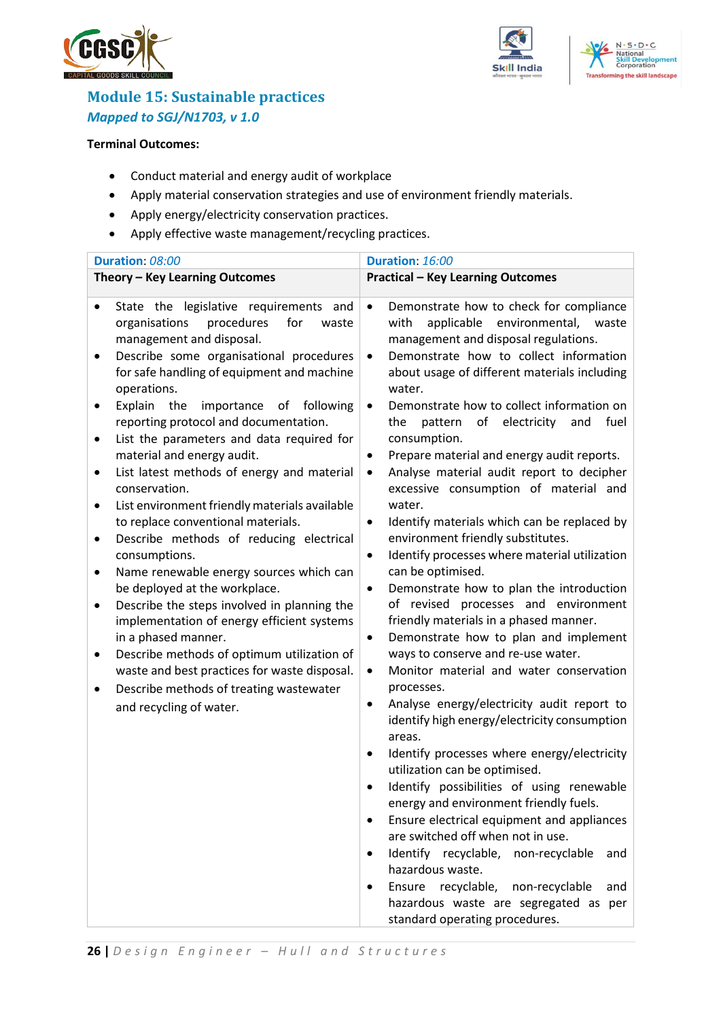





## <span id="page-25-0"></span>**Module 15: Sustainable practices** *Mapped to SGJ/N1703, v 1.0*

#### **Terminal Outcomes:**

- Conduct material and energy audit of workplace
- Apply material conservation strategies and use of environment friendly materials.
- Apply energy/electricity conservation practices.
- Apply effective waste management/recycling practices.

| Duration: 08:00                                                                                                                                                                                                                                                                                                                                                                                                                                                                                                                                                                                                                                                                                                                                                                                                                                                                                                                                                                                                                          | Duration: 16:00                                                                                                                                                                                                                                                                                                                                                                                                                                                                                                                                                                                                                                                                                                                                                                                                                                                                                                                                                                                                                                                                                                                                                                                                                                                                                                                                                                                                                                                                                                                                                                                                                                                                  |  |  |  |
|------------------------------------------------------------------------------------------------------------------------------------------------------------------------------------------------------------------------------------------------------------------------------------------------------------------------------------------------------------------------------------------------------------------------------------------------------------------------------------------------------------------------------------------------------------------------------------------------------------------------------------------------------------------------------------------------------------------------------------------------------------------------------------------------------------------------------------------------------------------------------------------------------------------------------------------------------------------------------------------------------------------------------------------|----------------------------------------------------------------------------------------------------------------------------------------------------------------------------------------------------------------------------------------------------------------------------------------------------------------------------------------------------------------------------------------------------------------------------------------------------------------------------------------------------------------------------------------------------------------------------------------------------------------------------------------------------------------------------------------------------------------------------------------------------------------------------------------------------------------------------------------------------------------------------------------------------------------------------------------------------------------------------------------------------------------------------------------------------------------------------------------------------------------------------------------------------------------------------------------------------------------------------------------------------------------------------------------------------------------------------------------------------------------------------------------------------------------------------------------------------------------------------------------------------------------------------------------------------------------------------------------------------------------------------------------------------------------------------------|--|--|--|
| Theory - Key Learning Outcomes                                                                                                                                                                                                                                                                                                                                                                                                                                                                                                                                                                                                                                                                                                                                                                                                                                                                                                                                                                                                           | <b>Practical - Key Learning Outcomes</b>                                                                                                                                                                                                                                                                                                                                                                                                                                                                                                                                                                                                                                                                                                                                                                                                                                                                                                                                                                                                                                                                                                                                                                                                                                                                                                                                                                                                                                                                                                                                                                                                                                         |  |  |  |
| State the legislative requirements and<br>organisations<br>procedures<br>for<br>waste<br>management and disposal.<br>Describe some organisational procedures<br>٠<br>for safe handling of equipment and machine<br>operations.<br>Explain the<br>importance of following<br>reporting protocol and documentation.<br>List the parameters and data required for<br>$\bullet$<br>material and energy audit.<br>List latest methods of energy and material<br>٠<br>conservation.<br>List environment friendly materials available<br>$\bullet$<br>to replace conventional materials.<br>Describe methods of reducing electrical<br>٠<br>consumptions.<br>Name renewable energy sources which can<br>٠<br>be deployed at the workplace.<br>Describe the steps involved in planning the<br>$\bullet$<br>implementation of energy efficient systems<br>in a phased manner.<br>Describe methods of optimum utilization of<br>waste and best practices for waste disposal.<br>Describe methods of treating wastewater<br>and recycling of water. | Demonstrate how to check for compliance<br>$\bullet$<br>environmental,<br>with<br>applicable<br>waste<br>management and disposal regulations.<br>Demonstrate how to collect information<br>$\bullet$<br>about usage of different materials including<br>water.<br>Demonstrate how to collect information on<br>$\bullet$<br>electricity<br>pattern<br>of<br>and<br>fuel<br>the<br>consumption.<br>Prepare material and energy audit reports.<br>$\bullet$<br>Analyse material audit report to decipher<br>$\bullet$<br>excessive consumption of material and<br>water.<br>Identify materials which can be replaced by<br>$\bullet$<br>environment friendly substitutes.<br>Identify processes where material utilization<br>$\bullet$<br>can be optimised.<br>Demonstrate how to plan the introduction<br>$\bullet$<br>of revised processes and environment<br>friendly materials in a phased manner.<br>Demonstrate how to plan and implement<br>$\bullet$<br>ways to conserve and re-use water.<br>Monitor material and water conservation<br>$\bullet$<br>processes.<br>Analyse energy/electricity audit report to<br>٠<br>identify high energy/electricity consumption<br>areas.<br>Identify processes where energy/electricity<br>٠<br>utilization can be optimised.<br>Identify possibilities of using renewable<br>$\bullet$<br>energy and environment friendly fuels.<br>Ensure electrical equipment and appliances<br>٠<br>are switched off when not in use.<br>Identify recyclable, non-recyclable<br>and<br>$\bullet$<br>hazardous waste.<br>Ensure recyclable, non-recyclable<br>and<br>٠<br>hazardous waste are segregated as per<br>standard operating procedures. |  |  |  |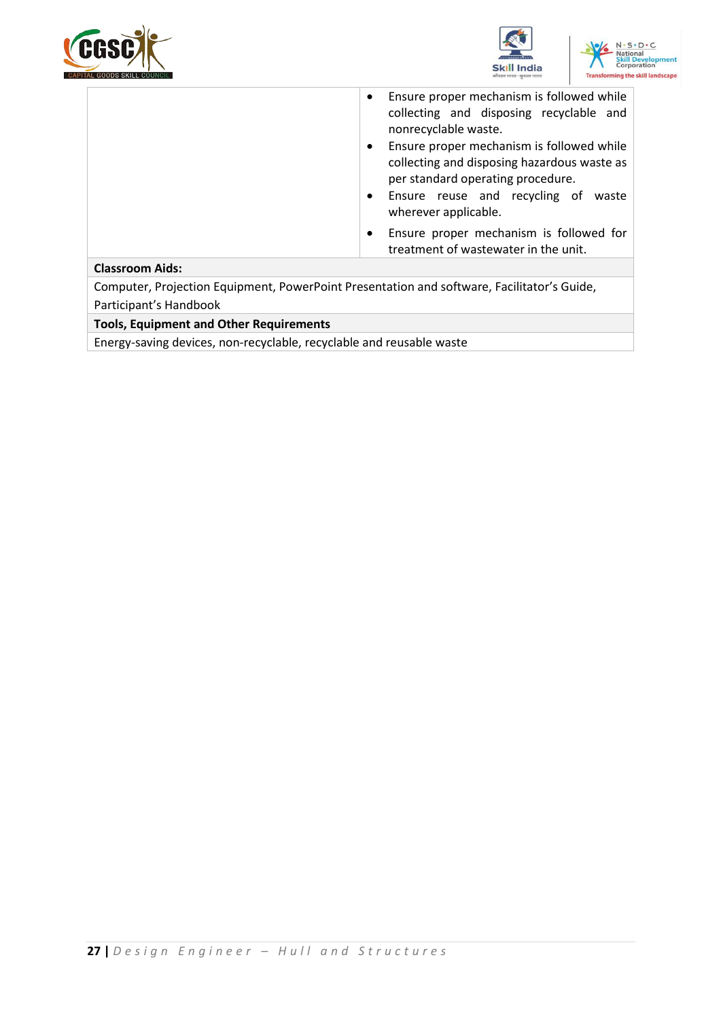





|                                                                                            | Ensure proper mechanism is followed while<br>$\bullet$<br>collecting and disposing recyclable and<br>nonrecyclable waste.<br>Ensure proper mechanism is followed while<br>$\bullet$<br>collecting and disposing hazardous waste as<br>per standard operating procedure.<br>Ensure reuse and recycling of waste<br>$\bullet$<br>wherever applicable. |
|--------------------------------------------------------------------------------------------|-----------------------------------------------------------------------------------------------------------------------------------------------------------------------------------------------------------------------------------------------------------------------------------------------------------------------------------------------------|
|                                                                                            | Ensure proper mechanism is followed for<br>$\bullet$<br>treatment of wastewater in the unit.                                                                                                                                                                                                                                                        |
| <b>Classroom Aids:</b>                                                                     |                                                                                                                                                                                                                                                                                                                                                     |
| Computer, Projection Equipment, PowerPoint Presentation and software, Facilitator's Guide, |                                                                                                                                                                                                                                                                                                                                                     |
| Participant's Handbook                                                                     |                                                                                                                                                                                                                                                                                                                                                     |

**Tools, Equipment and Other Requirements** 

Energy-saving devices, non-recyclable, recyclable and reusable waste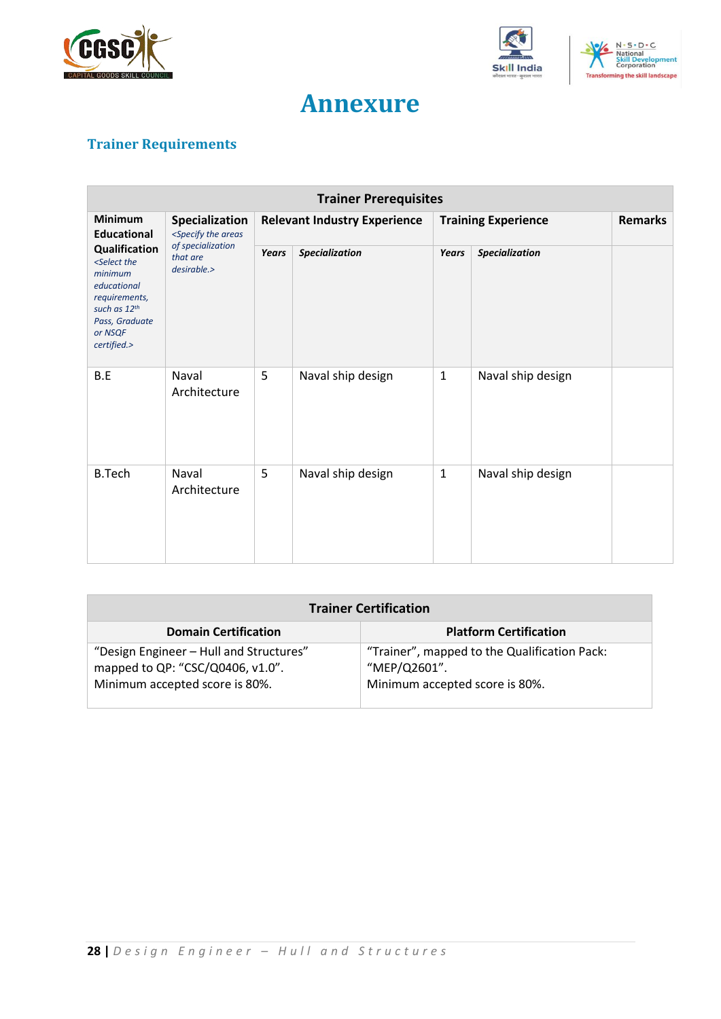





## **Annexure**

## <span id="page-27-1"></span><span id="page-27-0"></span>**Trainer Requirements**

| <b>Trainer Prerequisites</b>                                                                                                                                                                     |                                                                                                       |                                     |                       |                            |                   |                |
|--------------------------------------------------------------------------------------------------------------------------------------------------------------------------------------------------|-------------------------------------------------------------------------------------------------------|-------------------------------------|-----------------------|----------------------------|-------------------|----------------|
| <b>Minimum</b><br><b>Educational</b><br>Qualification<br><select the<br="">minimum<br/>educational<br/>requirements,<br/>such as 12th<br/>Pass, Graduate<br/>or NSQF<br/>certified.&gt;</select> | Specialization<br><specify areas<br="" the="">of specialization<br/>that are<br/>desirable.</specify> | <b>Relevant Industry Experience</b> |                       | <b>Training Experience</b> |                   | <b>Remarks</b> |
|                                                                                                                                                                                                  |                                                                                                       | <b>Years</b>                        | <b>Specialization</b> | Years                      | Specialization    |                |
| B.E                                                                                                                                                                                              | Naval<br>Architecture                                                                                 | 5                                   | Naval ship design     | $\mathbf 1$                | Naval ship design |                |
| <b>B.Tech</b>                                                                                                                                                                                    | Naval<br>Architecture                                                                                 | 5                                   | Naval ship design     | $\mathbf{1}$               | Naval ship design |                |

| <b>Trainer Certification</b>                                                                                  |                                                                                                |  |  |
|---------------------------------------------------------------------------------------------------------------|------------------------------------------------------------------------------------------------|--|--|
| <b>Domain Certification</b>                                                                                   | <b>Platform Certification</b>                                                                  |  |  |
| "Design Engineer - Hull and Structures"<br>mapped to QP: "CSC/Q0406, v1.0".<br>Minimum accepted score is 80%. | "Trainer", mapped to the Qualification Pack:<br>"MEP/Q2601".<br>Minimum accepted score is 80%. |  |  |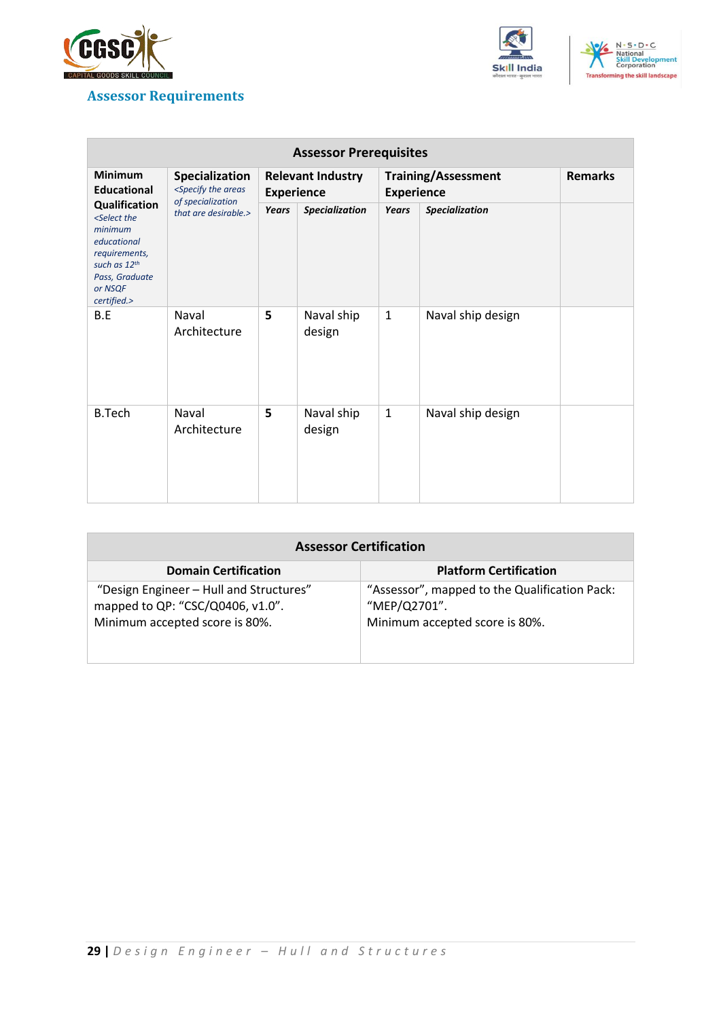

## <span id="page-28-0"></span>**Assessor Requirements**





| <b>Assessor Prerequisites</b>                                                                                                                                   |                                                                                                                                                                                                                             |                                               |                      |                                                 |                   |                |
|-----------------------------------------------------------------------------------------------------------------------------------------------------------------|-----------------------------------------------------------------------------------------------------------------------------------------------------------------------------------------------------------------------------|-----------------------------------------------|----------------------|-------------------------------------------------|-------------------|----------------|
| <b>Minimum</b><br><b>Educational</b>                                                                                                                            | Specialization<br><specify areas<="" th="" the=""><th colspan="2"><b>Relevant Industry</b><br/><b>Experience</b></th><th colspan="2"><b>Training/Assessment</b><br/><b>Experience</b></th><th><b>Remarks</b></th></specify> | <b>Relevant Industry</b><br><b>Experience</b> |                      | <b>Training/Assessment</b><br><b>Experience</b> |                   | <b>Remarks</b> |
| <b>Qualification</b><br><select the<br="">minimum<br/>educational<br/>requirements,<br/>such as 12th<br/>Pass, Graduate<br/>or NSQF<br/>certified.&gt;</select> | of specialization<br>that are desirable.>                                                                                                                                                                                   | Years                                         | Specialization       | <b>Years</b>                                    | Specialization    |                |
| B.E                                                                                                                                                             | Naval<br>Architecture                                                                                                                                                                                                       | 5                                             | Naval ship<br>design | $\mathbf{1}$                                    | Naval ship design |                |
| <b>B.Tech</b>                                                                                                                                                   | Naval<br>Architecture                                                                                                                                                                                                       | 5                                             | Naval ship<br>design | $\mathbf{1}$                                    | Naval ship design |                |

| <b>Assessor Certification</b>                                                                                 |                                                                                                 |  |
|---------------------------------------------------------------------------------------------------------------|-------------------------------------------------------------------------------------------------|--|
| <b>Domain Certification</b>                                                                                   | <b>Platform Certification</b>                                                                   |  |
| "Design Engineer - Hull and Structures"<br>mapped to QP: "CSC/Q0406, v1.0".<br>Minimum accepted score is 80%. | "Assessor", mapped to the Qualification Pack:<br>"MEP/Q2701".<br>Minimum accepted score is 80%. |  |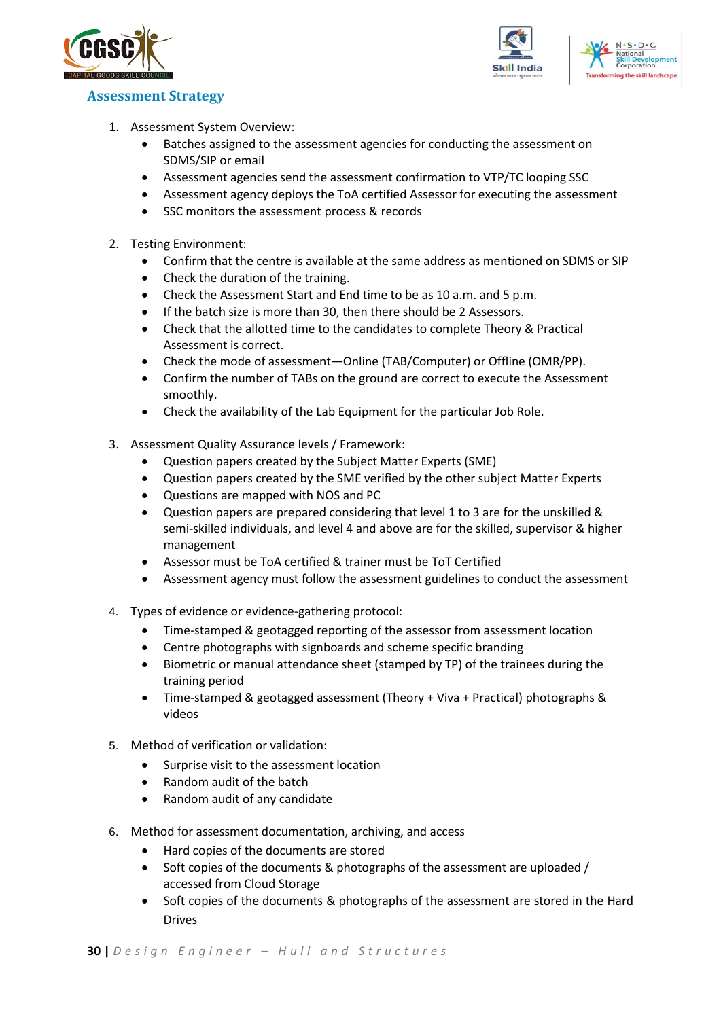



#### <span id="page-29-0"></span>**Assessment Strategy**

- 1. Assessment System Overview:
	- Batches assigned to the assessment agencies for conducting the assessment on SDMS/SIP or email
	- Assessment agencies send the assessment confirmation to VTP/TC looping SSC
	- Assessment agency deploys the ToA certified Assessor for executing the assessment
	- SSC monitors the assessment process & records
- 2. Testing Environment:
	- Confirm that the centre is available at the same address as mentioned on SDMS or SIP
	- Check the duration of the training.
	- Check the Assessment Start and End time to be as 10 a.m. and 5 p.m.
	- If the batch size is more than 30, then there should be 2 Assessors.
	- Check that the allotted time to the candidates to complete Theory & Practical Assessment is correct.
	- Check the mode of assessment—Online (TAB/Computer) or Offline (OMR/PP).
	- Confirm the number of TABs on the ground are correct to execute the Assessment smoothly.
	- Check the availability of the Lab Equipment for the particular Job Role.
- 3. Assessment Quality Assurance levels / Framework:
	- Question papers created by the Subject Matter Experts (SME)
	- Question papers created by the SME verified by the other subject Matter Experts
	- Questions are mapped with NOS and PC
	- Question papers are prepared considering that level 1 to 3 are for the unskilled & semi-skilled individuals, and level 4 and above are for the skilled, supervisor & higher management
	- Assessor must be ToA certified & trainer must be ToT Certified
	- Assessment agency must follow the assessment guidelines to conduct the assessment
- 4. Types of evidence or evidence-gathering protocol:
	- Time-stamped & geotagged reporting of the assessor from assessment location
	- Centre photographs with signboards and scheme specific branding
	- Biometric or manual attendance sheet (stamped by TP) of the trainees during the training period
	- Time-stamped & geotagged assessment (Theory + Viva + Practical) photographs & videos
- 5. Method of verification or validation:
	- Surprise visit to the assessment location
	- Random audit of the batch
	- Random audit of any candidate
- 6. Method for assessment documentation, archiving, and access
	- Hard copies of the documents are stored
	- Soft copies of the documents & photographs of the assessment are uploaded / accessed from Cloud Storage
	- Soft copies of the documents & photographs of the assessment are stored in the Hard Drives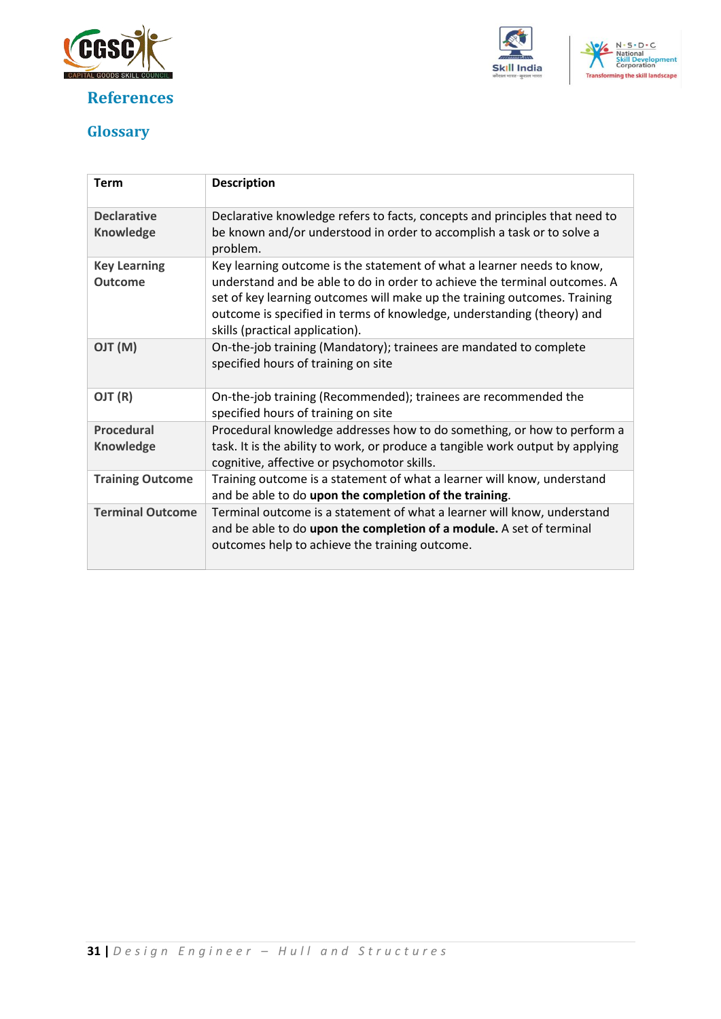

## **References**





## <span id="page-30-0"></span>**Glossary**

| <b>Term</b>                           | <b>Description</b>                                                                                                                                                                                                                                                                                                                            |
|---------------------------------------|-----------------------------------------------------------------------------------------------------------------------------------------------------------------------------------------------------------------------------------------------------------------------------------------------------------------------------------------------|
| <b>Declarative</b><br>Knowledge       | Declarative knowledge refers to facts, concepts and principles that need to<br>be known and/or understood in order to accomplish a task or to solve a<br>problem.                                                                                                                                                                             |
| <b>Key Learning</b><br><b>Outcome</b> | Key learning outcome is the statement of what a learner needs to know,<br>understand and be able to do in order to achieve the terminal outcomes. A<br>set of key learning outcomes will make up the training outcomes. Training<br>outcome is specified in terms of knowledge, understanding (theory) and<br>skills (practical application). |
| (M) TLO                               | On-the-job training (Mandatory); trainees are mandated to complete<br>specified hours of training on site                                                                                                                                                                                                                                     |
| OJT (R)                               | On-the-job training (Recommended); trainees are recommended the<br>specified hours of training on site                                                                                                                                                                                                                                        |
| <b>Procedural</b><br>Knowledge        | Procedural knowledge addresses how to do something, or how to perform a<br>task. It is the ability to work, or produce a tangible work output by applying<br>cognitive, affective or psychomotor skills.                                                                                                                                      |
| <b>Training Outcome</b>               | Training outcome is a statement of what a learner will know, understand<br>and be able to do upon the completion of the training.                                                                                                                                                                                                             |
| <b>Terminal Outcome</b>               | Terminal outcome is a statement of what a learner will know, understand<br>and be able to do upon the completion of a module. A set of terminal<br>outcomes help to achieve the training outcome.                                                                                                                                             |